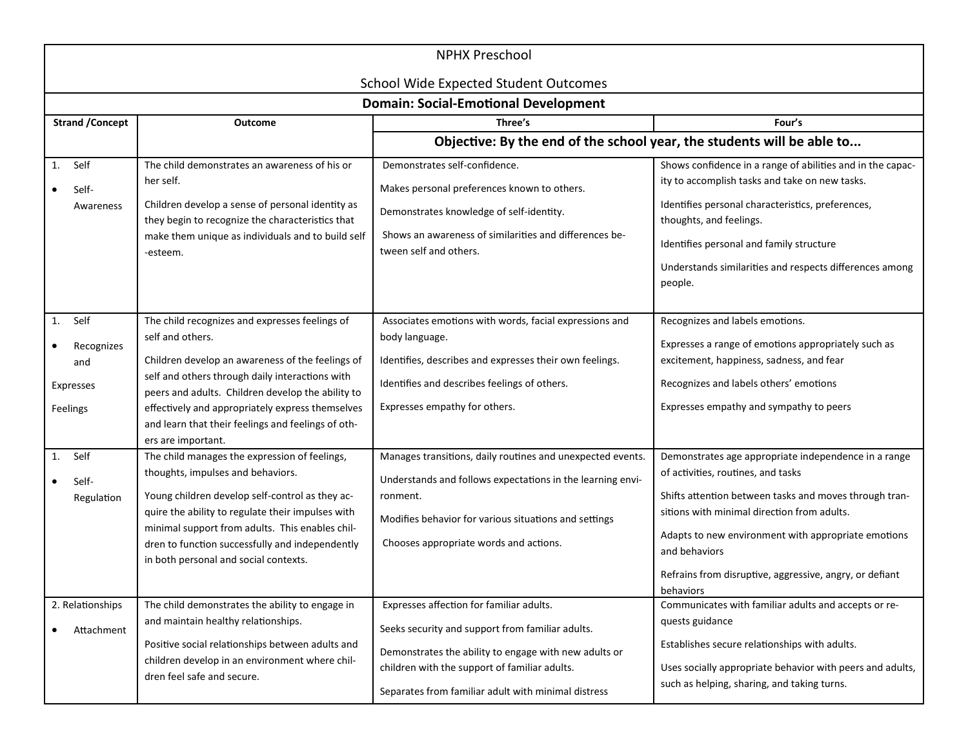| <b>NPHX Preschool</b>                                    |                                                                                                                                                                                                                                                                                                                                                                |                                                                                                                                                                                                                                                               |                                                                                                                                                                                                                                                                                                                                                     |
|----------------------------------------------------------|----------------------------------------------------------------------------------------------------------------------------------------------------------------------------------------------------------------------------------------------------------------------------------------------------------------------------------------------------------------|---------------------------------------------------------------------------------------------------------------------------------------------------------------------------------------------------------------------------------------------------------------|-----------------------------------------------------------------------------------------------------------------------------------------------------------------------------------------------------------------------------------------------------------------------------------------------------------------------------------------------------|
|                                                          |                                                                                                                                                                                                                                                                                                                                                                | <b>School Wide Expected Student Outcomes</b><br><b>Domain: Social-Emotional Development</b>                                                                                                                                                                   |                                                                                                                                                                                                                                                                                                                                                     |
| <b>Strand / Concept</b>                                  | <b>Outcome</b>                                                                                                                                                                                                                                                                                                                                                 | Three's                                                                                                                                                                                                                                                       | Four's                                                                                                                                                                                                                                                                                                                                              |
|                                                          |                                                                                                                                                                                                                                                                                                                                                                | Objective: By the end of the school year, the students will be able to                                                                                                                                                                                        |                                                                                                                                                                                                                                                                                                                                                     |
| Self<br>1.<br>Self-<br>Awareness                         | The child demonstrates an awareness of his or<br>her self.<br>Children develop a sense of personal identity as<br>they begin to recognize the characteristics that<br>make them unique as individuals and to build self<br>-esteem.                                                                                                                            | Demonstrates self-confidence.<br>Makes personal preferences known to others.<br>Demonstrates knowledge of self-identity.<br>Shows an awareness of similarities and differences be-<br>tween self and others.                                                  | Shows confidence in a range of abilities and in the capac-<br>ity to accomplish tasks and take on new tasks.<br>Identifies personal characteristics, preferences,<br>thoughts, and feelings.<br>Identifies personal and family structure<br>Understands similarities and respects differences among<br>people.                                      |
| Self<br>1.<br>Recognizes<br>and<br>Expresses<br>Feelings | The child recognizes and expresses feelings of<br>self and others.<br>Children develop an awareness of the feelings of<br>self and others through daily interactions with<br>peers and adults. Children develop the ability to<br>effectively and appropriately express themselves<br>and learn that their feelings and feelings of oth-<br>ers are important. | Associates emotions with words, facial expressions and<br>body language.<br>Identifies, describes and expresses their own feelings.<br>Identifies and describes feelings of others.<br>Expresses empathy for others.                                          | Recognizes and labels emotions.<br>Expresses a range of emotions appropriately such as<br>excitement, happiness, sadness, and fear<br>Recognizes and labels others' emotions<br>Expresses empathy and sympathy to peers                                                                                                                             |
| Self<br>1.<br>Self-<br>Regulation                        | The child manages the expression of feelings,<br>thoughts, impulses and behaviors.<br>Young children develop self-control as they ac-<br>quire the ability to regulate their impulses with<br>minimal support from adults. This enables chil-<br>dren to function successfully and independently<br>in both personal and social contexts.                      | Manages transitions, daily routines and unexpected events.<br>Understands and follows expectations in the learning envi-<br>ronment.<br>Modifies behavior for various situations and settings<br>Chooses appropriate words and actions.                       | Demonstrates age appropriate independence in a range<br>of activities, routines, and tasks<br>Shifts attention between tasks and moves through tran-<br>sitions with minimal direction from adults.<br>Adapts to new environment with appropriate emotions<br>and behaviors<br>Refrains from disruptive, aggressive, angry, or defiant<br>behaviors |
| 2. Relationships<br>Attachment                           | The child demonstrates the ability to engage in<br>and maintain healthy relationships.<br>Positive social relationships between adults and<br>children develop in an environment where chil-<br>dren feel safe and secure.                                                                                                                                     | Expresses affection for familiar adults.<br>Seeks security and support from familiar adults.<br>Demonstrates the ability to engage with new adults or<br>children with the support of familiar adults.<br>Separates from familiar adult with minimal distress | Communicates with familiar adults and accepts or re-<br>quests guidance<br>Establishes secure relationships with adults.<br>Uses socially appropriate behavior with peers and adults,<br>such as helping, sharing, and taking turns.                                                                                                                |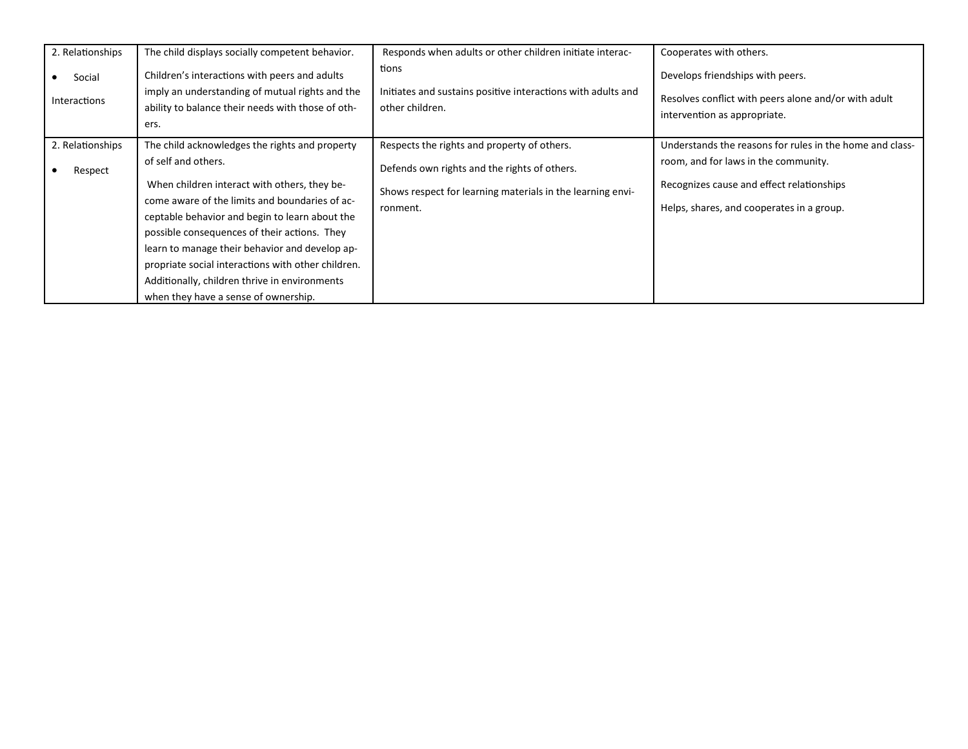| 2. Relationships<br>Social<br><b>Interactions</b> | The child displays socially competent behavior.<br>Children's interactions with peers and adults<br>imply an understanding of mutual rights and the<br>ability to balance their needs with those of oth-<br>ers.                                                                                                                                                                                                                                                           | Responds when adults or other children initiate interac-<br>tions<br>Initiates and sustains positive interactions with adults and<br>other children.                  | Cooperates with others.<br>Develops friendships with peers.<br>Resolves conflict with peers alone and/or with adult<br>intervention as appropriate.                                        |
|---------------------------------------------------|----------------------------------------------------------------------------------------------------------------------------------------------------------------------------------------------------------------------------------------------------------------------------------------------------------------------------------------------------------------------------------------------------------------------------------------------------------------------------|-----------------------------------------------------------------------------------------------------------------------------------------------------------------------|--------------------------------------------------------------------------------------------------------------------------------------------------------------------------------------------|
| 2. Relationships<br>Respect                       | The child acknowledges the rights and property<br>of self and others.<br>When children interact with others, they be-<br>come aware of the limits and boundaries of ac-<br>ceptable behavior and begin to learn about the<br>possible consequences of their actions. They<br>learn to manage their behavior and develop ap-<br>propriate social interactions with other children.<br>Additionally, children thrive in environments<br>when they have a sense of ownership. | Respects the rights and property of others.<br>Defends own rights and the rights of others.<br>Shows respect for learning materials in the learning envi-<br>ronment. | Understands the reasons for rules in the home and class-<br>room, and for laws in the community.<br>Recognizes cause and effect relationships<br>Helps, shares, and cooperates in a group. |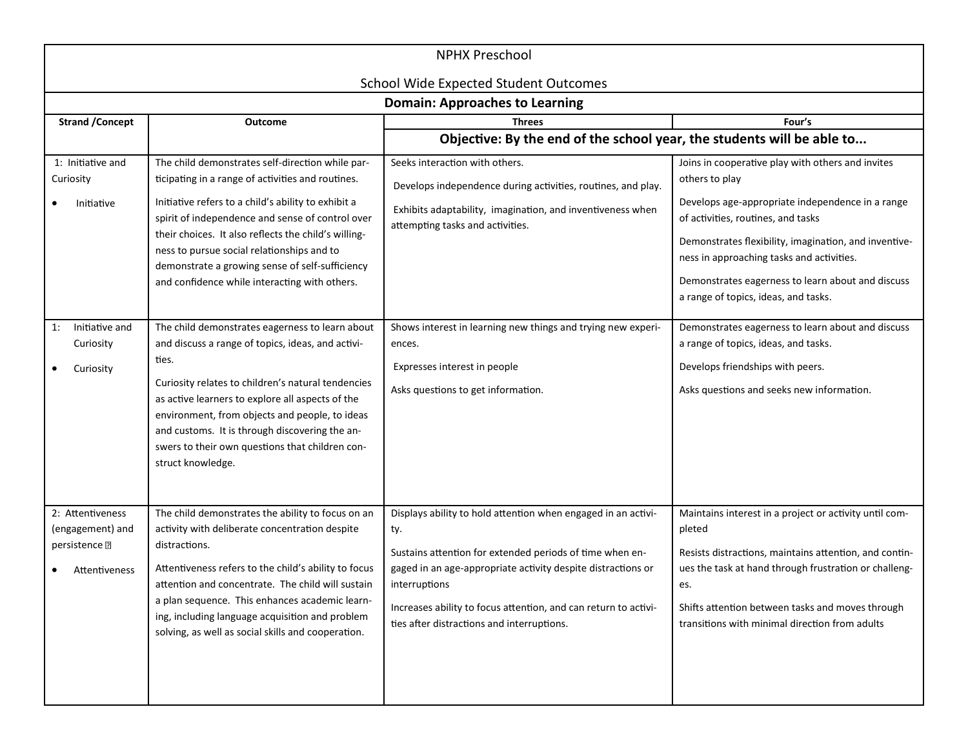| <b>NPHX Preschool</b>                                                               |                                                                                                                                                                                                                                                                                                                                                                                                                            |                                                                                                                                                                                                                                                                                                                                    |                                                                                                                                                                                                                                                                                                                                                                  |  |
|-------------------------------------------------------------------------------------|----------------------------------------------------------------------------------------------------------------------------------------------------------------------------------------------------------------------------------------------------------------------------------------------------------------------------------------------------------------------------------------------------------------------------|------------------------------------------------------------------------------------------------------------------------------------------------------------------------------------------------------------------------------------------------------------------------------------------------------------------------------------|------------------------------------------------------------------------------------------------------------------------------------------------------------------------------------------------------------------------------------------------------------------------------------------------------------------------------------------------------------------|--|
|                                                                                     |                                                                                                                                                                                                                                                                                                                                                                                                                            | <b>School Wide Expected Student Outcomes</b><br><b>Domain: Approaches to Learning</b>                                                                                                                                                                                                                                              |                                                                                                                                                                                                                                                                                                                                                                  |  |
| <b>Strand / Concept</b>                                                             | <b>Outcome</b>                                                                                                                                                                                                                                                                                                                                                                                                             | <b>Threes</b>                                                                                                                                                                                                                                                                                                                      | Four's                                                                                                                                                                                                                                                                                                                                                           |  |
|                                                                                     |                                                                                                                                                                                                                                                                                                                                                                                                                            | Objective: By the end of the school year, the students will be able to                                                                                                                                                                                                                                                             |                                                                                                                                                                                                                                                                                                                                                                  |  |
| 1: Initiative and<br>Curiosity<br>Initiative                                        | The child demonstrates self-direction while par-<br>ticipating in a range of activities and routines.<br>Initiative refers to a child's ability to exhibit a<br>spirit of independence and sense of control over<br>their choices. It also reflects the child's willing-<br>ness to pursue social relationships and to<br>demonstrate a growing sense of self-sufficiency<br>and confidence while interacting with others. | Seeks interaction with others.<br>Develops independence during activities, routines, and play.<br>Exhibits adaptability, imagination, and inventiveness when<br>attempting tasks and activities.                                                                                                                                   | Joins in cooperative play with others and invites<br>others to play<br>Develops age-appropriate independence in a range<br>of activities, routines, and tasks<br>Demonstrates flexibility, imagination, and inventive-<br>ness in approaching tasks and activities.<br>Demonstrates eagerness to learn about and discuss<br>a range of topics, ideas, and tasks. |  |
| Initiative and<br>1:<br>Curiosity<br>Curiosity                                      | The child demonstrates eagerness to learn about<br>and discuss a range of topics, ideas, and activi-<br>ties.<br>Curiosity relates to children's natural tendencies<br>as active learners to explore all aspects of the<br>environment, from objects and people, to ideas<br>and customs. It is through discovering the an-<br>swers to their own questions that children con-<br>struct knowledge.                        | Shows interest in learning new things and trying new experi-<br>ences.<br>Expresses interest in people<br>Asks questions to get information.                                                                                                                                                                                       | Demonstrates eagerness to learn about and discuss<br>a range of topics, ideas, and tasks.<br>Develops friendships with peers.<br>Asks questions and seeks new information.                                                                                                                                                                                       |  |
| 2: Attentiveness<br>(engagement) and<br>persistence <sup>[2]</sup><br>Attentiveness | The child demonstrates the ability to focus on an<br>activity with deliberate concentration despite<br>distractions.<br>Attentiveness refers to the child's ability to focus<br>attention and concentrate. The child will sustain<br>a plan sequence. This enhances academic learn-<br>ing, including language acquisition and problem<br>solving, as well as social skills and cooperation.                               | Displays ability to hold attention when engaged in an activi-<br>ty.<br>Sustains attention for extended periods of time when en-<br>gaged in an age-appropriate activity despite distractions or<br>interruptions<br>Increases ability to focus attention, and can return to activi-<br>ties after distractions and interruptions. | Maintains interest in a project or activity until com-<br>pleted<br>Resists distractions, maintains attention, and contin-<br>ues the task at hand through frustration or challeng-<br>es.<br>Shifts attention between tasks and moves through<br>transitions with minimal direction from adults                                                                 |  |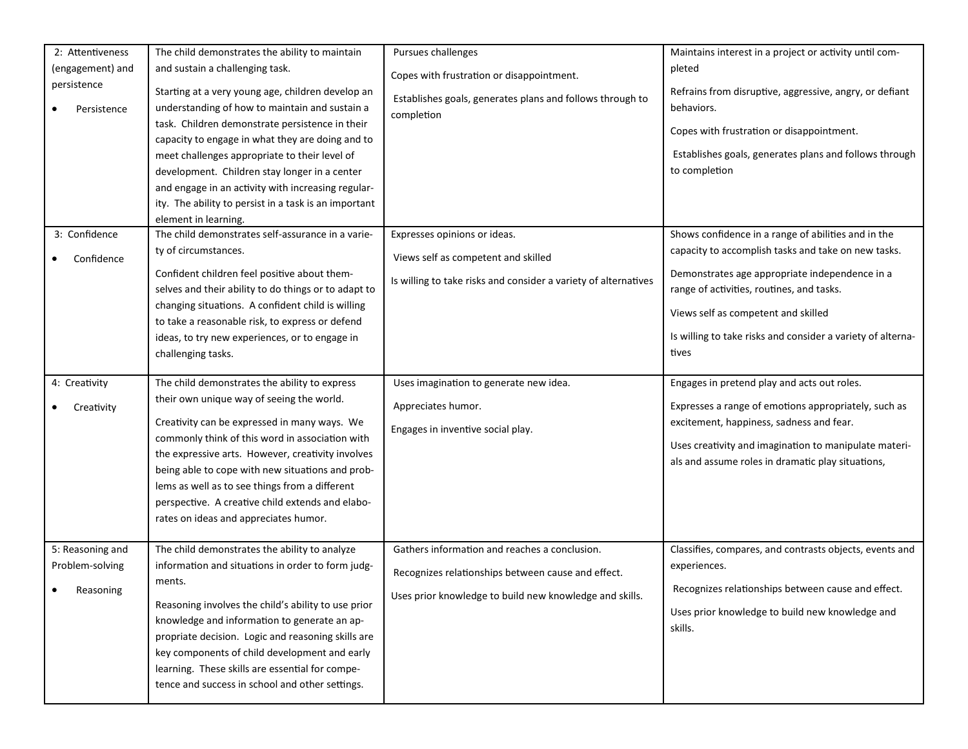| 2: Attentiveness<br>(engagement) and<br>persistence<br>Persistence | The child demonstrates the ability to maintain<br>and sustain a challenging task.<br>Starting at a very young age, children develop an<br>understanding of how to maintain and sustain a<br>task. Children demonstrate persistence in their<br>capacity to engage in what they are doing and to<br>meet challenges appropriate to their level of<br>development. Children stay longer in a center<br>and engage in an activity with increasing regular-<br>ity. The ability to persist in a task is an important<br>element in learning. | Pursues challenges<br>Copes with frustration or disappointment.<br>Establishes goals, generates plans and follows through to<br>completion                     | Maintains interest in a project or activity until com-<br>pleted<br>Refrains from disruptive, aggressive, angry, or defiant<br>behaviors.<br>Copes with frustration or disappointment.<br>Establishes goals, generates plans and follows through<br>to completion                                                        |
|--------------------------------------------------------------------|------------------------------------------------------------------------------------------------------------------------------------------------------------------------------------------------------------------------------------------------------------------------------------------------------------------------------------------------------------------------------------------------------------------------------------------------------------------------------------------------------------------------------------------|----------------------------------------------------------------------------------------------------------------------------------------------------------------|--------------------------------------------------------------------------------------------------------------------------------------------------------------------------------------------------------------------------------------------------------------------------------------------------------------------------|
| 3: Confidence<br>Confidence                                        | The child demonstrates self-assurance in a varie-<br>ty of circumstances.<br>Confident children feel positive about them-<br>selves and their ability to do things or to adapt to<br>changing situations. A confident child is willing<br>to take a reasonable risk, to express or defend<br>ideas, to try new experiences, or to engage in<br>challenging tasks.                                                                                                                                                                        | Expresses opinions or ideas.<br>Views self as competent and skilled<br>Is willing to take risks and consider a variety of alternatives                         | Shows confidence in a range of abilities and in the<br>capacity to accomplish tasks and take on new tasks.<br>Demonstrates age appropriate independence in a<br>range of activities, routines, and tasks.<br>Views self as competent and skilled<br>Is willing to take risks and consider a variety of alterna-<br>tives |
| 4: Creativity<br>Creativity                                        | The child demonstrates the ability to express<br>their own unique way of seeing the world.<br>Creativity can be expressed in many ways. We<br>commonly think of this word in association with<br>the expressive arts. However, creativity involves<br>being able to cope with new situations and prob-<br>lems as well as to see things from a different<br>perspective. A creative child extends and elabo-<br>rates on ideas and appreciates humor.                                                                                    | Uses imagination to generate new idea.<br>Appreciates humor.<br>Engages in inventive social play.                                                              | Engages in pretend play and acts out roles.<br>Expresses a range of emotions appropriately, such as<br>excitement, happiness, sadness and fear.<br>Uses creativity and imagination to manipulate materi-<br>als and assume roles in dramatic play situations,                                                            |
| 5: Reasoning and<br>Problem-solving<br>Reasoning                   | The child demonstrates the ability to analyze<br>information and situations in order to form judg-<br>ments.<br>Reasoning involves the child's ability to use prior<br>knowledge and information to generate an ap-<br>propriate decision. Logic and reasoning skills are<br>key components of child development and early<br>learning. These skills are essential for compe-<br>tence and success in school and other settings.                                                                                                         | Gathers information and reaches a conclusion.<br>Recognizes relationships between cause and effect.<br>Uses prior knowledge to build new knowledge and skills. | Classifies, compares, and contrasts objects, events and<br>experiences.<br>Recognizes relationships between cause and effect.<br>Uses prior knowledge to build new knowledge and<br>skills.                                                                                                                              |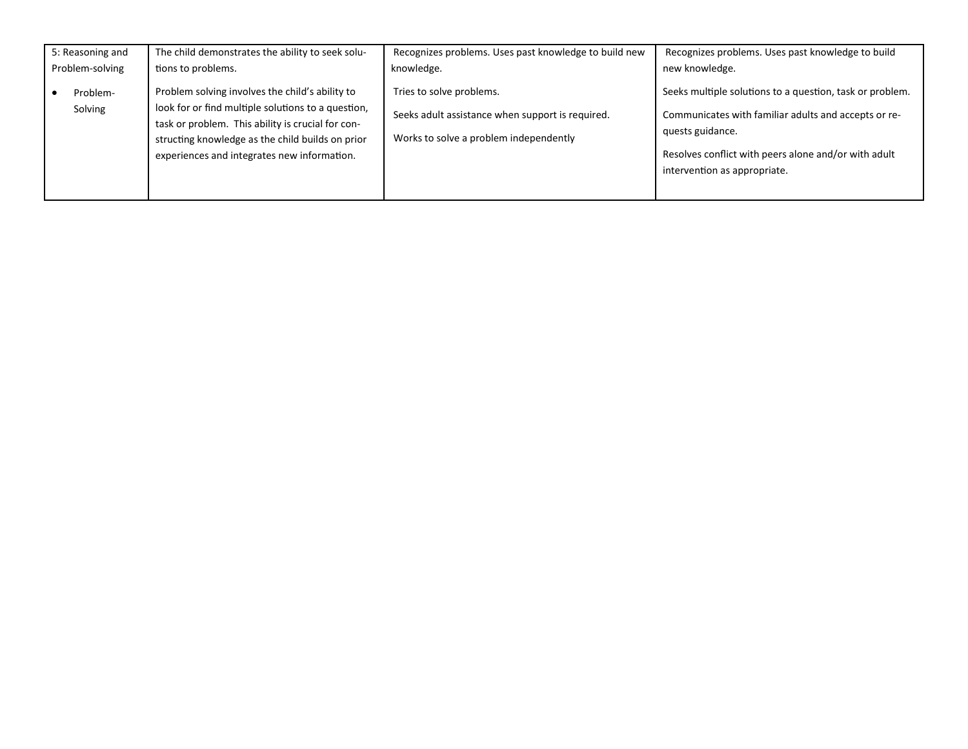| 5: Reasoning and    | The child demonstrates the ability to seek solu-                                                                                                                                                                                                              | Recognizes problems. Uses past knowledge to build new                                                                  | Recognizes problems. Uses past knowledge to build                                                                                                                                                                            |
|---------------------|---------------------------------------------------------------------------------------------------------------------------------------------------------------------------------------------------------------------------------------------------------------|------------------------------------------------------------------------------------------------------------------------|------------------------------------------------------------------------------------------------------------------------------------------------------------------------------------------------------------------------------|
| Problem-solving     | tions to problems.                                                                                                                                                                                                                                            | knowledge.                                                                                                             | new knowledge.                                                                                                                                                                                                               |
| Problem-<br>Solving | Problem solving involves the child's ability to<br>look for or find multiple solutions to a question,<br>task or problem. This ability is crucial for con-<br>structing knowledge as the child builds on prior<br>experiences and integrates new information. | Tries to solve problems.<br>Seeks adult assistance when support is required.<br>Works to solve a problem independently | Seeks multiple solutions to a question, task or problem.<br>Communicates with familiar adults and accepts or re-<br>quests guidance.<br>Resolves conflict with peers alone and/or with adult<br>intervention as appropriate. |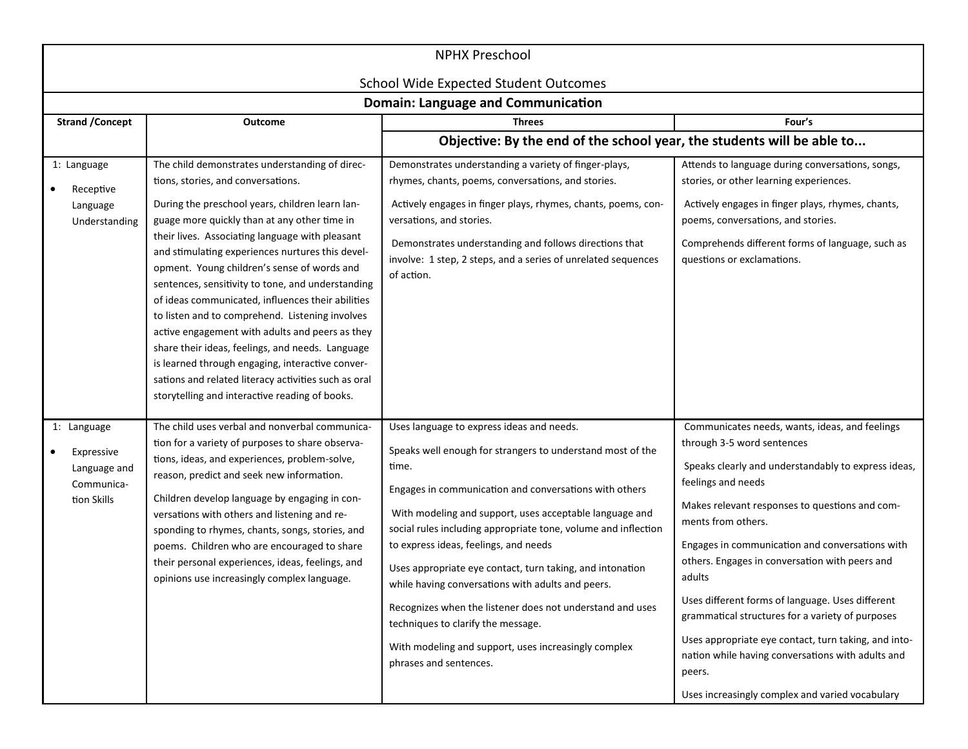| <b>NPHX Preschool</b>                                                  |                                                                                                                                                                                                                                                                                                                                                                                                                                                                                                                                                                                                                                                                                                                                                                                 |                                                                                                                                                                                                                                                                                                                                                                                                                                                                                                                                                                                                                                                         |                                                                                                                                                                                                                                                                                                                                                                                                                                                                                                                                                                                                                                    |  |
|------------------------------------------------------------------------|---------------------------------------------------------------------------------------------------------------------------------------------------------------------------------------------------------------------------------------------------------------------------------------------------------------------------------------------------------------------------------------------------------------------------------------------------------------------------------------------------------------------------------------------------------------------------------------------------------------------------------------------------------------------------------------------------------------------------------------------------------------------------------|---------------------------------------------------------------------------------------------------------------------------------------------------------------------------------------------------------------------------------------------------------------------------------------------------------------------------------------------------------------------------------------------------------------------------------------------------------------------------------------------------------------------------------------------------------------------------------------------------------------------------------------------------------|------------------------------------------------------------------------------------------------------------------------------------------------------------------------------------------------------------------------------------------------------------------------------------------------------------------------------------------------------------------------------------------------------------------------------------------------------------------------------------------------------------------------------------------------------------------------------------------------------------------------------------|--|
|                                                                        |                                                                                                                                                                                                                                                                                                                                                                                                                                                                                                                                                                                                                                                                                                                                                                                 | <b>School Wide Expected Student Outcomes</b><br><b>Domain: Language and Communication</b>                                                                                                                                                                                                                                                                                                                                                                                                                                                                                                                                                               |                                                                                                                                                                                                                                                                                                                                                                                                                                                                                                                                                                                                                                    |  |
| <b>Strand / Concept</b>                                                | <b>Outcome</b>                                                                                                                                                                                                                                                                                                                                                                                                                                                                                                                                                                                                                                                                                                                                                                  | <b>Threes</b>                                                                                                                                                                                                                                                                                                                                                                                                                                                                                                                                                                                                                                           | Four's                                                                                                                                                                                                                                                                                                                                                                                                                                                                                                                                                                                                                             |  |
| Objective: By the end of the school year, the students will be able to |                                                                                                                                                                                                                                                                                                                                                                                                                                                                                                                                                                                                                                                                                                                                                                                 |                                                                                                                                                                                                                                                                                                                                                                                                                                                                                                                                                                                                                                                         |                                                                                                                                                                                                                                                                                                                                                                                                                                                                                                                                                                                                                                    |  |
| 1: Language<br>Receptive<br>Language<br>Understanding                  | The child demonstrates understanding of direc-<br>tions, stories, and conversations.<br>During the preschool years, children learn lan-<br>guage more quickly than at any other time in<br>their lives. Associating language with pleasant<br>and stimulating experiences nurtures this devel-<br>opment. Young children's sense of words and<br>sentences, sensitivity to tone, and understanding<br>of ideas communicated, influences their abilities<br>to listen and to comprehend. Listening involves<br>active engagement with adults and peers as they<br>share their ideas, feelings, and needs. Language<br>is learned through engaging, interactive conver-<br>sations and related literacy activities such as oral<br>storytelling and interactive reading of books. | Demonstrates understanding a variety of finger-plays,<br>rhymes, chants, poems, conversations, and stories.<br>Actively engages in finger plays, rhymes, chants, poems, con-<br>versations, and stories.<br>Demonstrates understanding and follows directions that<br>involve: 1 step, 2 steps, and a series of unrelated sequences<br>of action.                                                                                                                                                                                                                                                                                                       | Attends to language during conversations, songs,<br>stories, or other learning experiences.<br>Actively engages in finger plays, rhymes, chants,<br>poems, conversations, and stories.<br>Comprehends different forms of language, such as<br>questions or exclamations.                                                                                                                                                                                                                                                                                                                                                           |  |
| 1: Language<br>Expressive<br>Language and<br>Communica-<br>tion Skills | The child uses verbal and nonverbal communica-<br>tion for a variety of purposes to share observa-<br>tions, ideas, and experiences, problem-solve,<br>reason, predict and seek new information.<br>Children develop language by engaging in con-<br>versations with others and listening and re-<br>sponding to rhymes, chants, songs, stories, and<br>poems. Children who are encouraged to share<br>their personal experiences, ideas, feelings, and<br>opinions use increasingly complex language.                                                                                                                                                                                                                                                                          | Uses language to express ideas and needs.<br>Speaks well enough for strangers to understand most of the<br>time.<br>Engages in communication and conversations with others<br>With modeling and support, uses acceptable language and<br>social rules including appropriate tone, volume and inflection<br>to express ideas, feelings, and needs<br>Uses appropriate eye contact, turn taking, and intonation<br>while having conversations with adults and peers.<br>Recognizes when the listener does not understand and uses<br>techniques to clarify the message.<br>With modeling and support, uses increasingly complex<br>phrases and sentences. | Communicates needs, wants, ideas, and feelings<br>through 3-5 word sentences<br>Speaks clearly and understandably to express ideas,<br>feelings and needs<br>Makes relevant responses to questions and com-<br>ments from others.<br>Engages in communication and conversations with<br>others. Engages in conversation with peers and<br>adults<br>Uses different forms of language. Uses different<br>grammatical structures for a variety of purposes<br>Uses appropriate eye contact, turn taking, and into-<br>nation while having conversations with adults and<br>peers.<br>Uses increasingly complex and varied vocabulary |  |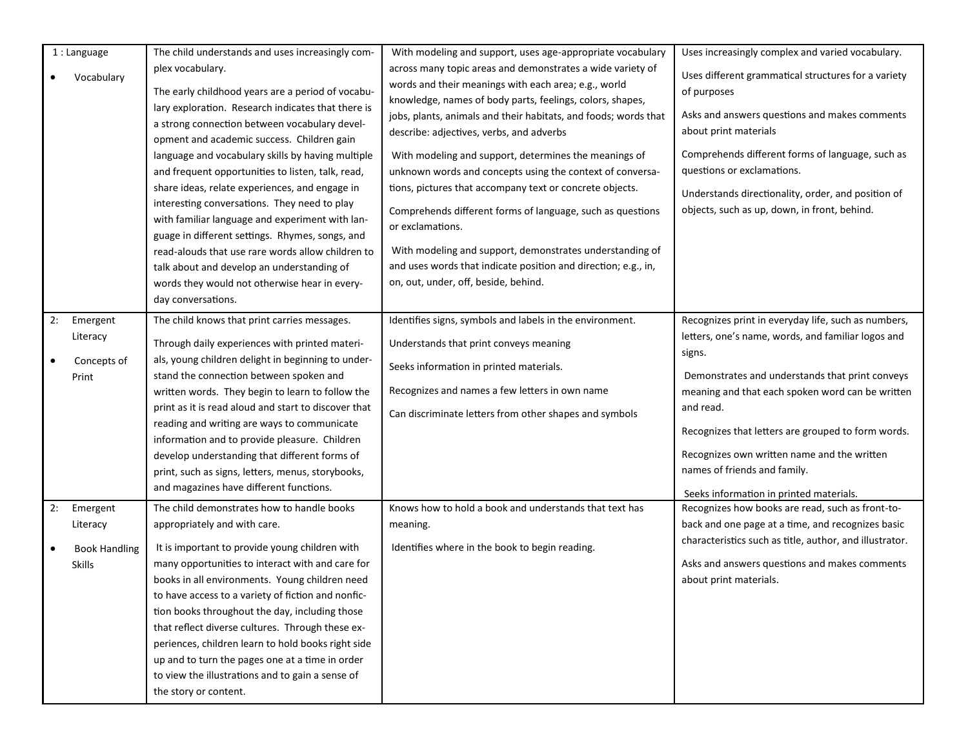|                 | 1 : Language<br>Vocabulary                             | The child understands and uses increasingly com-<br>plex vocabulary.<br>The early childhood years are a period of vocabu-<br>lary exploration. Research indicates that there is<br>a strong connection between vocabulary devel-<br>opment and academic success. Children gain<br>language and vocabulary skills by having multiple<br>and frequent opportunities to listen, talk, read,<br>share ideas, relate experiences, and engage in<br>interesting conversations. They need to play<br>with familiar language and experiment with lan-<br>guage in different settings. Rhymes, songs, and<br>read-alouds that use rare words allow children to<br>talk about and develop an understanding of<br>words they would not otherwise hear in every-<br>day conversations. | With modeling and support, uses age-appropriate vocabulary<br>across many topic areas and demonstrates a wide variety of<br>words and their meanings with each area; e.g., world<br>knowledge, names of body parts, feelings, colors, shapes,<br>jobs, plants, animals and their habitats, and foods; words that<br>describe: adjectives, verbs, and adverbs<br>With modeling and support, determines the meanings of<br>unknown words and concepts using the context of conversa-<br>tions, pictures that accompany text or concrete objects.<br>Comprehends different forms of language, such as questions<br>or exclamations.<br>With modeling and support, demonstrates understanding of<br>and uses words that indicate position and direction; e.g., in,<br>on, out, under, off, beside, behind. | Uses increasingly complex and varied vocabulary.<br>Uses different grammatical structures for a variety<br>of purposes<br>Asks and answers questions and makes comments<br>about print materials<br>Comprehends different forms of language, such as<br>questions or exclamations.<br>Understands directionality, order, and position of<br>objects, such as up, down, in front, behind.                                |
|-----------------|--------------------------------------------------------|----------------------------------------------------------------------------------------------------------------------------------------------------------------------------------------------------------------------------------------------------------------------------------------------------------------------------------------------------------------------------------------------------------------------------------------------------------------------------------------------------------------------------------------------------------------------------------------------------------------------------------------------------------------------------------------------------------------------------------------------------------------------------|--------------------------------------------------------------------------------------------------------------------------------------------------------------------------------------------------------------------------------------------------------------------------------------------------------------------------------------------------------------------------------------------------------------------------------------------------------------------------------------------------------------------------------------------------------------------------------------------------------------------------------------------------------------------------------------------------------------------------------------------------------------------------------------------------------|-------------------------------------------------------------------------------------------------------------------------------------------------------------------------------------------------------------------------------------------------------------------------------------------------------------------------------------------------------------------------------------------------------------------------|
| 2:<br>$\bullet$ | Emergent<br>Literacy<br>Concepts of<br>Print           | The child knows that print carries messages.<br>Through daily experiences with printed materi-<br>als, young children delight in beginning to under-<br>stand the connection between spoken and<br>written words. They begin to learn to follow the<br>print as it is read aloud and start to discover that<br>reading and writing are ways to communicate<br>information and to provide pleasure. Children<br>develop understanding that different forms of<br>print, such as signs, letters, menus, storybooks,<br>and magazines have different functions.                                                                                                                                                                                                               | Identifies signs, symbols and labels in the environment.<br>Understands that print conveys meaning<br>Seeks information in printed materials.<br>Recognizes and names a few letters in own name<br>Can discriminate letters from other shapes and symbols                                                                                                                                                                                                                                                                                                                                                                                                                                                                                                                                              | Recognizes print in everyday life, such as numbers,<br>letters, one's name, words, and familiar logos and<br>signs.<br>Demonstrates and understands that print conveys<br>meaning and that each spoken word can be written<br>and read.<br>Recognizes that letters are grouped to form words.<br>Recognizes own written name and the written<br>names of friends and family.<br>Seeks information in printed materials. |
| 2:              | Emergent<br>Literacy<br><b>Book Handling</b><br>Skills | The child demonstrates how to handle books<br>appropriately and with care.<br>It is important to provide young children with<br>many opportunities to interact with and care for<br>books in all environments. Young children need<br>to have access to a variety of fiction and nonfic-<br>tion books throughout the day, including those<br>that reflect diverse cultures. Through these ex-<br>periences, children learn to hold books right side<br>up and to turn the pages one at a time in order<br>to view the illustrations and to gain a sense of<br>the story or content.                                                                                                                                                                                       | Knows how to hold a book and understands that text has<br>meaning.<br>Identifies where in the book to begin reading.                                                                                                                                                                                                                                                                                                                                                                                                                                                                                                                                                                                                                                                                                   | Recognizes how books are read, such as front-to-<br>back and one page at a time, and recognizes basic<br>characteristics such as title, author, and illustrator.<br>Asks and answers questions and makes comments<br>about print materials.                                                                                                                                                                             |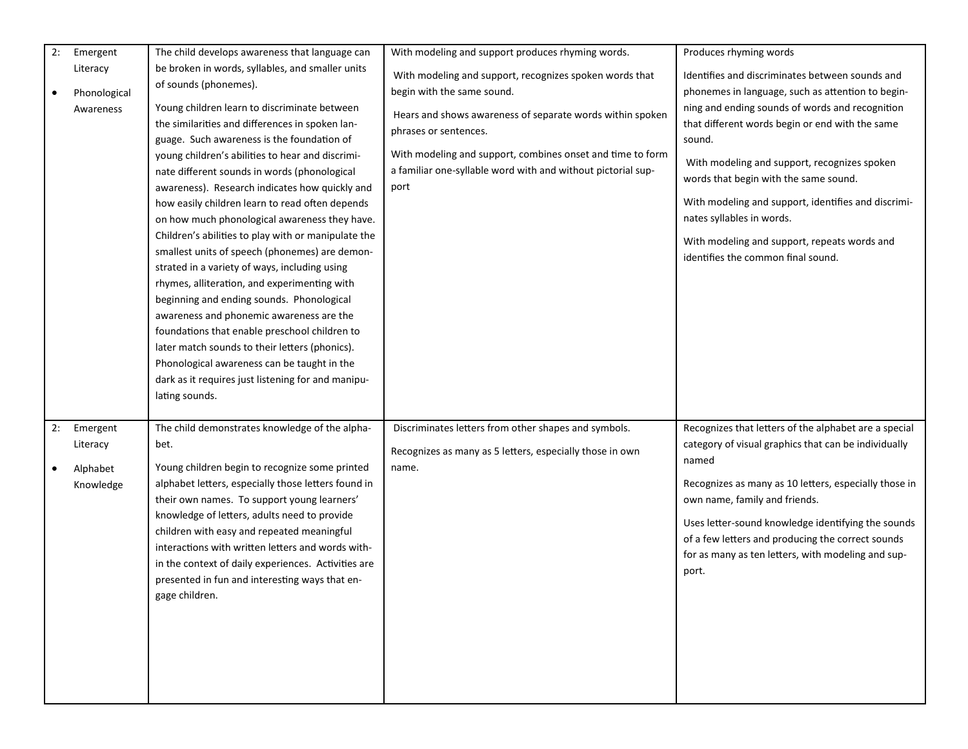| 2: | Emergent                                      | The child develops awareness that language can                                                                                                                                                                                                                                                                                                                                                                                                                                                                                                                                                                                                                                                                                                                                                                                                                                                                                                                                                  | With modeling and support produces rhyming words.                                                                                                                                                                                                                                                                 | Produces rhyming words                                                                                                                                                                                                                                                                                                                                                                                                                                                                  |
|----|-----------------------------------------------|-------------------------------------------------------------------------------------------------------------------------------------------------------------------------------------------------------------------------------------------------------------------------------------------------------------------------------------------------------------------------------------------------------------------------------------------------------------------------------------------------------------------------------------------------------------------------------------------------------------------------------------------------------------------------------------------------------------------------------------------------------------------------------------------------------------------------------------------------------------------------------------------------------------------------------------------------------------------------------------------------|-------------------------------------------------------------------------------------------------------------------------------------------------------------------------------------------------------------------------------------------------------------------------------------------------------------------|-----------------------------------------------------------------------------------------------------------------------------------------------------------------------------------------------------------------------------------------------------------------------------------------------------------------------------------------------------------------------------------------------------------------------------------------------------------------------------------------|
|    | Literacy<br>Phonological<br>Awareness         | be broken in words, syllables, and smaller units<br>of sounds (phonemes).<br>Young children learn to discriminate between<br>the similarities and differences in spoken lan-<br>guage. Such awareness is the foundation of<br>young children's abilities to hear and discrimi-<br>nate different sounds in words (phonological<br>awareness). Research indicates how quickly and<br>how easily children learn to read often depends<br>on how much phonological awareness they have.<br>Children's abilities to play with or manipulate the<br>smallest units of speech (phonemes) are demon-<br>strated in a variety of ways, including using<br>rhymes, alliteration, and experimenting with<br>beginning and ending sounds. Phonological<br>awareness and phonemic awareness are the<br>foundations that enable preschool children to<br>later match sounds to their letters (phonics).<br>Phonological awareness can be taught in the<br>dark as it requires just listening for and manipu- | With modeling and support, recognizes spoken words that<br>begin with the same sound.<br>Hears and shows awareness of separate words within spoken<br>phrases or sentences.<br>With modeling and support, combines onset and time to form<br>a familiar one-syllable word with and without pictorial sup-<br>port | Identifies and discriminates between sounds and<br>phonemes in language, such as attention to begin-<br>ning and ending sounds of words and recognition<br>that different words begin or end with the same<br>sound.<br>With modeling and support, recognizes spoken<br>words that begin with the same sound.<br>With modeling and support, identifies and discrimi-<br>nates syllables in words.<br>With modeling and support, repeats words and<br>identifies the common final sound. |
|    |                                               | lating sounds.                                                                                                                                                                                                                                                                                                                                                                                                                                                                                                                                                                                                                                                                                                                                                                                                                                                                                                                                                                                  |                                                                                                                                                                                                                                                                                                                   |                                                                                                                                                                                                                                                                                                                                                                                                                                                                                         |
| 2: | Emergent<br>Literacy<br>Alphabet<br>Knowledge | The child demonstrates knowledge of the alpha-<br>bet.<br>Young children begin to recognize some printed<br>alphabet letters, especially those letters found in<br>their own names. To support young learners'<br>knowledge of letters, adults need to provide<br>children with easy and repeated meaningful<br>interactions with written letters and words with-<br>in the context of daily experiences. Activities are<br>presented in fun and interesting ways that en-<br>gage children.                                                                                                                                                                                                                                                                                                                                                                                                                                                                                                    | Discriminates letters from other shapes and symbols.<br>Recognizes as many as 5 letters, especially those in own<br>name.                                                                                                                                                                                         | Recognizes that letters of the alphabet are a special<br>category of visual graphics that can be individually<br>named<br>Recognizes as many as 10 letters, especially those in<br>own name, family and friends.<br>Uses letter-sound knowledge identifying the sounds<br>of a few letters and producing the correct sounds<br>for as many as ten letters, with modeling and sup-<br>port.                                                                                              |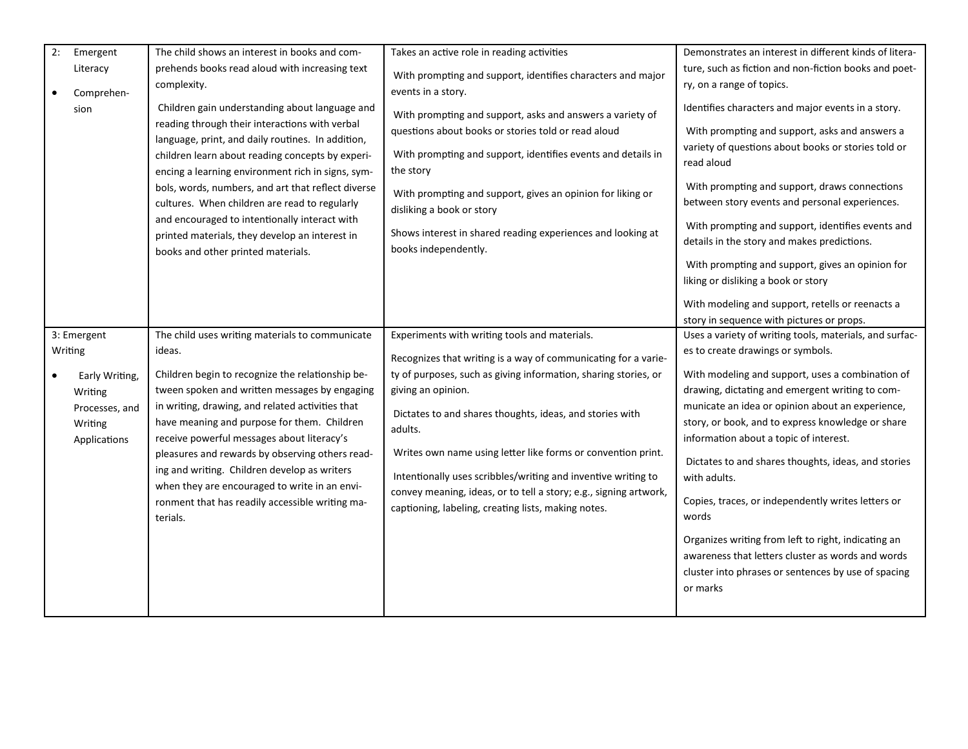| 2:<br>Emergent                                                         | The child shows an interest in books and com-                                                                                                                                                                                                                                                                                                                                                                                                                                                                  | Takes an active role in reading activities                                                                                                                                                                                                                                                                                                                                                                                | Demonstrates an interest in different kinds of litera-                                                                                                                                                                                                                                                                                                                                                                                                                                                                                                                       |
|------------------------------------------------------------------------|----------------------------------------------------------------------------------------------------------------------------------------------------------------------------------------------------------------------------------------------------------------------------------------------------------------------------------------------------------------------------------------------------------------------------------------------------------------------------------------------------------------|---------------------------------------------------------------------------------------------------------------------------------------------------------------------------------------------------------------------------------------------------------------------------------------------------------------------------------------------------------------------------------------------------------------------------|------------------------------------------------------------------------------------------------------------------------------------------------------------------------------------------------------------------------------------------------------------------------------------------------------------------------------------------------------------------------------------------------------------------------------------------------------------------------------------------------------------------------------------------------------------------------------|
| Literacy<br>Comprehen-                                                 | prehends books read aloud with increasing text<br>complexity.                                                                                                                                                                                                                                                                                                                                                                                                                                                  | With prompting and support, identifies characters and major<br>events in a story.                                                                                                                                                                                                                                                                                                                                         | ture, such as fiction and non-fiction books and poet-<br>ry, on a range of topics.                                                                                                                                                                                                                                                                                                                                                                                                                                                                                           |
| sion                                                                   | Children gain understanding about language and<br>reading through their interactions with verbal<br>language, print, and daily routines. In addition,<br>children learn about reading concepts by experi-<br>encing a learning environment rich in signs, sym-<br>bols, words, numbers, and art that reflect diverse<br>cultures. When children are read to regularly<br>and encouraged to intentionally interact with<br>printed materials, they develop an interest in<br>books and other printed materials. | With prompting and support, asks and answers a variety of<br>questions about books or stories told or read aloud<br>With prompting and support, identifies events and details in<br>the story<br>With prompting and support, gives an opinion for liking or<br>disliking a book or story<br>Shows interest in shared reading experiences and looking at<br>books independently.                                           | Identifies characters and major events in a story.<br>With prompting and support, asks and answers a<br>variety of questions about books or stories told or<br>read aloud<br>With prompting and support, draws connections<br>between story events and personal experiences.<br>With prompting and support, identifies events and<br>details in the story and makes predictions.<br>With prompting and support, gives an opinion for<br>liking or disliking a book or story<br>With modeling and support, retells or reenacts a<br>story in sequence with pictures or props. |
| 3: Emergent                                                            | The child uses writing materials to communicate                                                                                                                                                                                                                                                                                                                                                                                                                                                                | Experiments with writing tools and materials.                                                                                                                                                                                                                                                                                                                                                                             | Uses a variety of writing tools, materials, and surfac-                                                                                                                                                                                                                                                                                                                                                                                                                                                                                                                      |
| Writing                                                                | ideas.                                                                                                                                                                                                                                                                                                                                                                                                                                                                                                         | Recognizes that writing is a way of communicating for a varie-                                                                                                                                                                                                                                                                                                                                                            | es to create drawings or symbols.                                                                                                                                                                                                                                                                                                                                                                                                                                                                                                                                            |
| Early Writing,<br>Writing<br>Processes, and<br>Writing<br>Applications | Children begin to recognize the relationship be-<br>tween spoken and written messages by engaging<br>in writing, drawing, and related activities that<br>have meaning and purpose for them. Children<br>receive powerful messages about literacy's<br>pleasures and rewards by observing others read-<br>ing and writing. Children develop as writers<br>when they are encouraged to write in an envi-<br>ronment that has readily accessible writing ma-<br>terials.                                          | ty of purposes, such as giving information, sharing stories, or<br>giving an opinion.<br>Dictates to and shares thoughts, ideas, and stories with<br>adults.<br>Writes own name using letter like forms or convention print.<br>Intentionally uses scribbles/writing and inventive writing to<br>convey meaning, ideas, or to tell a story; e.g., signing artwork,<br>captioning, labeling, creating lists, making notes. | With modeling and support, uses a combination of<br>drawing, dictating and emergent writing to com-<br>municate an idea or opinion about an experience,<br>story, or book, and to express knowledge or share<br>information about a topic of interest.<br>Dictates to and shares thoughts, ideas, and stories<br>with adults.<br>Copies, traces, or independently writes letters or<br>words<br>Organizes writing from left to right, indicating an<br>awareness that letters cluster as words and words<br>cluster into phrases or sentences by use of spacing<br>or marks  |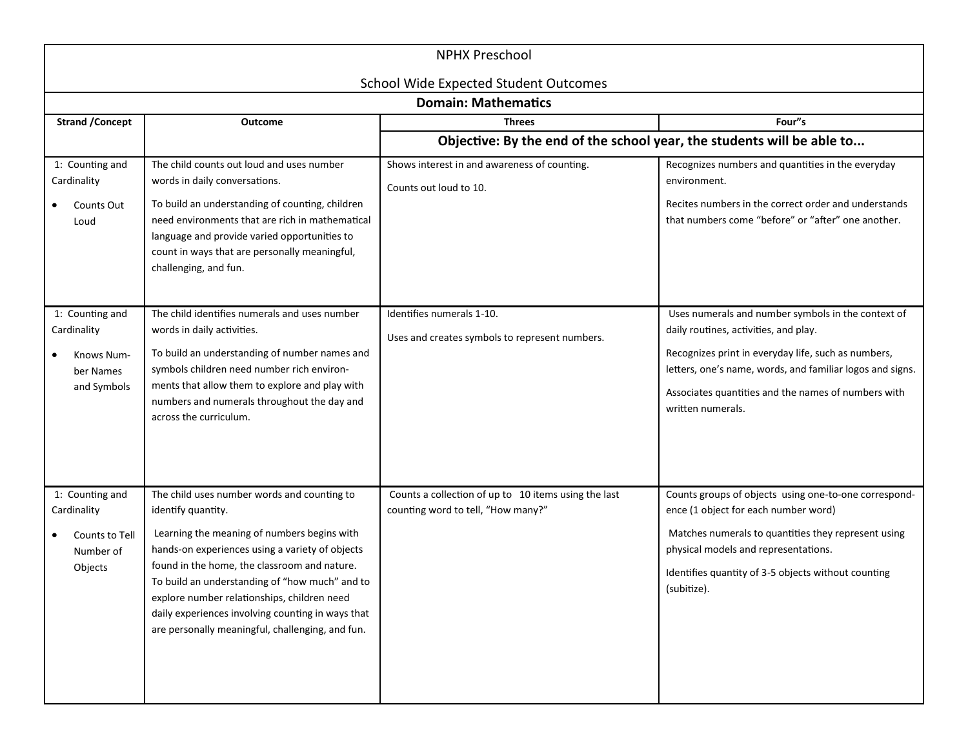| <b>NPHX Preschool</b>                                                    |                                                                                                                                                                                                                                                                                                                                                                                                                               |                                                                                            |                                                                                                                                                                                                                                                                                             |
|--------------------------------------------------------------------------|-------------------------------------------------------------------------------------------------------------------------------------------------------------------------------------------------------------------------------------------------------------------------------------------------------------------------------------------------------------------------------------------------------------------------------|--------------------------------------------------------------------------------------------|---------------------------------------------------------------------------------------------------------------------------------------------------------------------------------------------------------------------------------------------------------------------------------------------|
|                                                                          |                                                                                                                                                                                                                                                                                                                                                                                                                               | <b>School Wide Expected Student Outcomes</b><br><b>Domain: Mathematics</b>                 |                                                                                                                                                                                                                                                                                             |
| <b>Strand / Concept</b>                                                  | <b>Outcome</b>                                                                                                                                                                                                                                                                                                                                                                                                                | <b>Threes</b>                                                                              | Four"s                                                                                                                                                                                                                                                                                      |
|                                                                          |                                                                                                                                                                                                                                                                                                                                                                                                                               | Objective: By the end of the school year, the students will be able to                     |                                                                                                                                                                                                                                                                                             |
| 1: Counting and<br>Cardinality<br>Counts Out<br>Loud                     | The child counts out loud and uses number<br>words in daily conversations.<br>To build an understanding of counting, children<br>need environments that are rich in mathematical<br>language and provide varied opportunities to<br>count in ways that are personally meaningful,<br>challenging, and fun.                                                                                                                    | Shows interest in and awareness of counting.<br>Counts out loud to 10.                     | Recognizes numbers and quantities in the everyday<br>environment.<br>Recites numbers in the correct order and understands<br>that numbers come "before" or "after" one another.                                                                                                             |
| 1: Counting and<br>Cardinality<br>Knows Num-<br>ber Names<br>and Symbols | The child identifies numerals and uses number<br>words in daily activities.<br>To build an understanding of number names and<br>symbols children need number rich environ-<br>ments that allow them to explore and play with<br>numbers and numerals throughout the day and<br>across the curriculum.                                                                                                                         | Identifies numerals 1-10.<br>Uses and creates symbols to represent numbers.                | Uses numerals and number symbols in the context of<br>daily routines, activities, and play.<br>Recognizes print in everyday life, such as numbers,<br>letters, one's name, words, and familiar logos and signs.<br>Associates quantities and the names of numbers with<br>written numerals. |
| 1: Counting and<br>Cardinality<br>Counts to Tell<br>Number of<br>Objects | The child uses number words and counting to<br>identify quantity.<br>Learning the meaning of numbers begins with<br>hands-on experiences using a variety of objects<br>found in the home, the classroom and nature.<br>To build an understanding of "how much" and to<br>explore number relationships, children need<br>daily experiences involving counting in ways that<br>are personally meaningful, challenging, and fun. | Counts a collection of up to 10 items using the last<br>counting word to tell, "How many?" | Counts groups of objects using one-to-one correspond-<br>ence (1 object for each number word)<br>Matches numerals to quantities they represent using<br>physical models and representations.<br>Identifies quantity of 3-5 objects without counting<br>(subitize).                          |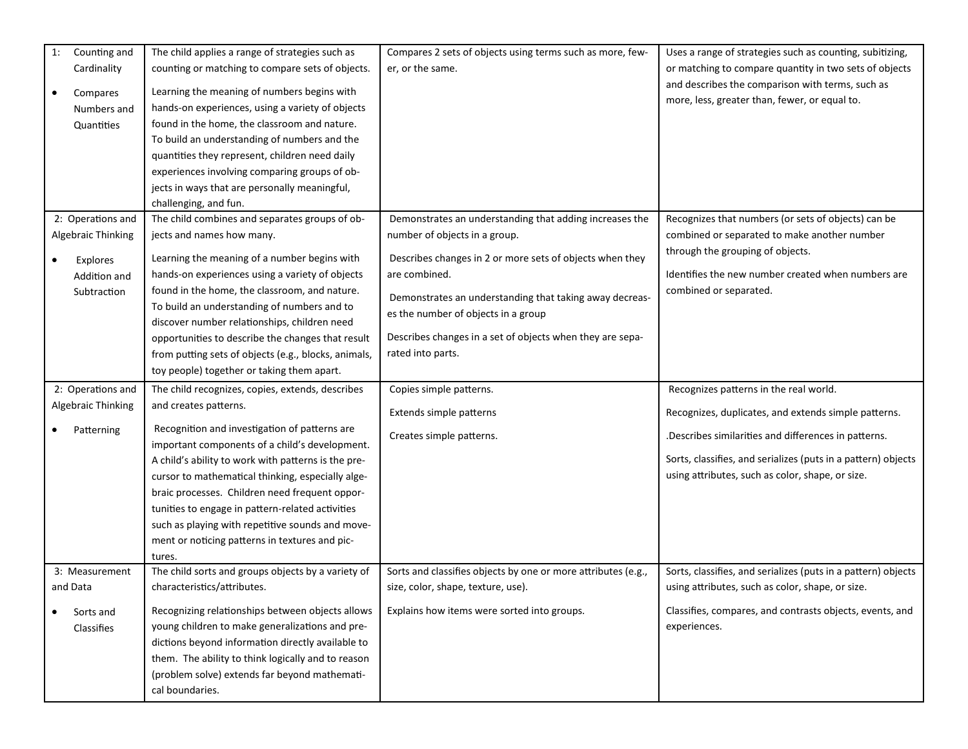| Cardinality<br>counting or matching to compare sets of objects.<br>er, or the same.<br>or matching to compare quantity in two sets of objects<br>and describes the comparison with terms, such as<br>Learning the meaning of numbers begins with<br>Compares<br>$\bullet$<br>more, less, greater than, fewer, or equal to.<br>hands-on experiences, using a variety of objects<br>Numbers and<br>found in the home, the classroom and nature.<br>Quantities<br>To build an understanding of numbers and the<br>quantities they represent, children need daily<br>experiences involving comparing groups of ob-<br>jects in ways that are personally meaningful,<br>challenging, and fun.<br>2: Operations and<br>The child combines and separates groups of ob-<br>Demonstrates an understanding that adding increases the<br>Recognizes that numbers (or sets of objects) can be<br>combined or separated to make another number<br>Algebraic Thinking<br>jects and names how many.<br>number of objects in a group.<br>through the grouping of objects.<br>Learning the meaning of a number begins with<br>Describes changes in 2 or more sets of objects when they<br>Explores<br>Identifies the new number created when numbers are<br>hands-on experiences using a variety of objects<br>are combined.<br>Addition and<br>found in the home, the classroom, and nature.<br>combined or separated.<br>Subtraction<br>Demonstrates an understanding that taking away decreas-<br>To build an understanding of numbers and to<br>es the number of objects in a group<br>discover number relationships, children need<br>Describes changes in a set of objects when they are sepa-<br>opportunities to describe the changes that result<br>rated into parts.<br>from putting sets of objects (e.g., blocks, animals,<br>toy people) together or taking them apart.<br>2: Operations and<br>The child recognizes, copies, extends, describes<br>Copies simple patterns.<br>Recognizes patterns in the real world.<br>Algebraic Thinking<br>and creates patterns.<br>Extends simple patterns<br>Recognizes, duplicates, and extends simple patterns.<br>Recognition and investigation of patterns are<br>Patterning<br>.Describes similarities and differences in patterns.<br>Creates simple patterns.<br>important components of a child's development.<br>Sorts, classifies, and serializes (puts in a pattern) objects<br>A child's ability to work with patterns is the pre-<br>using attributes, such as color, shape, or size.<br>cursor to mathematical thinking, especially alge-<br>braic processes. Children need frequent oppor-<br>tunities to engage in pattern-related activities<br>such as playing with repetitive sounds and move-<br>ment or noticing patterns in textures and pic-<br>tures.<br>The child sorts and groups objects by a variety of<br>Sorts and classifies objects by one or more attributes (e.g.,<br>Sorts, classifies, and serializes (puts in a pattern) objects<br>3: Measurement<br>characteristics/attributes.<br>using attributes, such as color, shape, or size.<br>and Data<br>size, color, shape, texture, use). | Sorts and<br>Classifies | The child applies a range of strategies such as                                                     | Compares 2 sets of objects using terms such as more, few- | Uses a range of strategies such as counting, subitizing, |
|----------------------------------------------------------------------------------------------------------------------------------------------------------------------------------------------------------------------------------------------------------------------------------------------------------------------------------------------------------------------------------------------------------------------------------------------------------------------------------------------------------------------------------------------------------------------------------------------------------------------------------------------------------------------------------------------------------------------------------------------------------------------------------------------------------------------------------------------------------------------------------------------------------------------------------------------------------------------------------------------------------------------------------------------------------------------------------------------------------------------------------------------------------------------------------------------------------------------------------------------------------------------------------------------------------------------------------------------------------------------------------------------------------------------------------------------------------------------------------------------------------------------------------------------------------------------------------------------------------------------------------------------------------------------------------------------------------------------------------------------------------------------------------------------------------------------------------------------------------------------------------------------------------------------------------------------------------------------------------------------------------------------------------------------------------------------------------------------------------------------------------------------------------------------------------------------------------------------------------------------------------------------------------------------------------------------------------------------------------------------------------------------------------------------------------------------------------------------------------------------------------------------------------------------------------------------------------------------------------------------------------------------------------------------------------------------------------------------------------------------------------------------------------------------------------------------------------------------------------------------------------------------------------------------------------------------------------------------------------------------------------------------------------------------------------------------------------------------------------------------------------------------------------------|-------------------------|-----------------------------------------------------------------------------------------------------|-----------------------------------------------------------|----------------------------------------------------------|
|                                                                                                                                                                                                                                                                                                                                                                                                                                                                                                                                                                                                                                                                                                                                                                                                                                                                                                                                                                                                                                                                                                                                                                                                                                                                                                                                                                                                                                                                                                                                                                                                                                                                                                                                                                                                                                                                                                                                                                                                                                                                                                                                                                                                                                                                                                                                                                                                                                                                                                                                                                                                                                                                                                                                                                                                                                                                                                                                                                                                                                                                                                                                                                |                         |                                                                                                     |                                                           |                                                          |
|                                                                                                                                                                                                                                                                                                                                                                                                                                                                                                                                                                                                                                                                                                                                                                                                                                                                                                                                                                                                                                                                                                                                                                                                                                                                                                                                                                                                                                                                                                                                                                                                                                                                                                                                                                                                                                                                                                                                                                                                                                                                                                                                                                                                                                                                                                                                                                                                                                                                                                                                                                                                                                                                                                                                                                                                                                                                                                                                                                                                                                                                                                                                                                |                         |                                                                                                     |                                                           |                                                          |
|                                                                                                                                                                                                                                                                                                                                                                                                                                                                                                                                                                                                                                                                                                                                                                                                                                                                                                                                                                                                                                                                                                                                                                                                                                                                                                                                                                                                                                                                                                                                                                                                                                                                                                                                                                                                                                                                                                                                                                                                                                                                                                                                                                                                                                                                                                                                                                                                                                                                                                                                                                                                                                                                                                                                                                                                                                                                                                                                                                                                                                                                                                                                                                |                         |                                                                                                     |                                                           |                                                          |
|                                                                                                                                                                                                                                                                                                                                                                                                                                                                                                                                                                                                                                                                                                                                                                                                                                                                                                                                                                                                                                                                                                                                                                                                                                                                                                                                                                                                                                                                                                                                                                                                                                                                                                                                                                                                                                                                                                                                                                                                                                                                                                                                                                                                                                                                                                                                                                                                                                                                                                                                                                                                                                                                                                                                                                                                                                                                                                                                                                                                                                                                                                                                                                |                         |                                                                                                     |                                                           |                                                          |
|                                                                                                                                                                                                                                                                                                                                                                                                                                                                                                                                                                                                                                                                                                                                                                                                                                                                                                                                                                                                                                                                                                                                                                                                                                                                                                                                                                                                                                                                                                                                                                                                                                                                                                                                                                                                                                                                                                                                                                                                                                                                                                                                                                                                                                                                                                                                                                                                                                                                                                                                                                                                                                                                                                                                                                                                                                                                                                                                                                                                                                                                                                                                                                |                         |                                                                                                     |                                                           |                                                          |
|                                                                                                                                                                                                                                                                                                                                                                                                                                                                                                                                                                                                                                                                                                                                                                                                                                                                                                                                                                                                                                                                                                                                                                                                                                                                                                                                                                                                                                                                                                                                                                                                                                                                                                                                                                                                                                                                                                                                                                                                                                                                                                                                                                                                                                                                                                                                                                                                                                                                                                                                                                                                                                                                                                                                                                                                                                                                                                                                                                                                                                                                                                                                                                |                         |                                                                                                     |                                                           |                                                          |
|                                                                                                                                                                                                                                                                                                                                                                                                                                                                                                                                                                                                                                                                                                                                                                                                                                                                                                                                                                                                                                                                                                                                                                                                                                                                                                                                                                                                                                                                                                                                                                                                                                                                                                                                                                                                                                                                                                                                                                                                                                                                                                                                                                                                                                                                                                                                                                                                                                                                                                                                                                                                                                                                                                                                                                                                                                                                                                                                                                                                                                                                                                                                                                |                         |                                                                                                     |                                                           |                                                          |
|                                                                                                                                                                                                                                                                                                                                                                                                                                                                                                                                                                                                                                                                                                                                                                                                                                                                                                                                                                                                                                                                                                                                                                                                                                                                                                                                                                                                                                                                                                                                                                                                                                                                                                                                                                                                                                                                                                                                                                                                                                                                                                                                                                                                                                                                                                                                                                                                                                                                                                                                                                                                                                                                                                                                                                                                                                                                                                                                                                                                                                                                                                                                                                |                         |                                                                                                     |                                                           |                                                          |
|                                                                                                                                                                                                                                                                                                                                                                                                                                                                                                                                                                                                                                                                                                                                                                                                                                                                                                                                                                                                                                                                                                                                                                                                                                                                                                                                                                                                                                                                                                                                                                                                                                                                                                                                                                                                                                                                                                                                                                                                                                                                                                                                                                                                                                                                                                                                                                                                                                                                                                                                                                                                                                                                                                                                                                                                                                                                                                                                                                                                                                                                                                                                                                |                         |                                                                                                     |                                                           |                                                          |
|                                                                                                                                                                                                                                                                                                                                                                                                                                                                                                                                                                                                                                                                                                                                                                                                                                                                                                                                                                                                                                                                                                                                                                                                                                                                                                                                                                                                                                                                                                                                                                                                                                                                                                                                                                                                                                                                                                                                                                                                                                                                                                                                                                                                                                                                                                                                                                                                                                                                                                                                                                                                                                                                                                                                                                                                                                                                                                                                                                                                                                                                                                                                                                |                         |                                                                                                     |                                                           |                                                          |
|                                                                                                                                                                                                                                                                                                                                                                                                                                                                                                                                                                                                                                                                                                                                                                                                                                                                                                                                                                                                                                                                                                                                                                                                                                                                                                                                                                                                                                                                                                                                                                                                                                                                                                                                                                                                                                                                                                                                                                                                                                                                                                                                                                                                                                                                                                                                                                                                                                                                                                                                                                                                                                                                                                                                                                                                                                                                                                                                                                                                                                                                                                                                                                |                         |                                                                                                     |                                                           |                                                          |
|                                                                                                                                                                                                                                                                                                                                                                                                                                                                                                                                                                                                                                                                                                                                                                                                                                                                                                                                                                                                                                                                                                                                                                                                                                                                                                                                                                                                                                                                                                                                                                                                                                                                                                                                                                                                                                                                                                                                                                                                                                                                                                                                                                                                                                                                                                                                                                                                                                                                                                                                                                                                                                                                                                                                                                                                                                                                                                                                                                                                                                                                                                                                                                |                         |                                                                                                     |                                                           |                                                          |
|                                                                                                                                                                                                                                                                                                                                                                                                                                                                                                                                                                                                                                                                                                                                                                                                                                                                                                                                                                                                                                                                                                                                                                                                                                                                                                                                                                                                                                                                                                                                                                                                                                                                                                                                                                                                                                                                                                                                                                                                                                                                                                                                                                                                                                                                                                                                                                                                                                                                                                                                                                                                                                                                                                                                                                                                                                                                                                                                                                                                                                                                                                                                                                |                         |                                                                                                     |                                                           |                                                          |
|                                                                                                                                                                                                                                                                                                                                                                                                                                                                                                                                                                                                                                                                                                                                                                                                                                                                                                                                                                                                                                                                                                                                                                                                                                                                                                                                                                                                                                                                                                                                                                                                                                                                                                                                                                                                                                                                                                                                                                                                                                                                                                                                                                                                                                                                                                                                                                                                                                                                                                                                                                                                                                                                                                                                                                                                                                                                                                                                                                                                                                                                                                                                                                |                         |                                                                                                     |                                                           |                                                          |
|                                                                                                                                                                                                                                                                                                                                                                                                                                                                                                                                                                                                                                                                                                                                                                                                                                                                                                                                                                                                                                                                                                                                                                                                                                                                                                                                                                                                                                                                                                                                                                                                                                                                                                                                                                                                                                                                                                                                                                                                                                                                                                                                                                                                                                                                                                                                                                                                                                                                                                                                                                                                                                                                                                                                                                                                                                                                                                                                                                                                                                                                                                                                                                |                         |                                                                                                     |                                                           |                                                          |
|                                                                                                                                                                                                                                                                                                                                                                                                                                                                                                                                                                                                                                                                                                                                                                                                                                                                                                                                                                                                                                                                                                                                                                                                                                                                                                                                                                                                                                                                                                                                                                                                                                                                                                                                                                                                                                                                                                                                                                                                                                                                                                                                                                                                                                                                                                                                                                                                                                                                                                                                                                                                                                                                                                                                                                                                                                                                                                                                                                                                                                                                                                                                                                |                         |                                                                                                     |                                                           |                                                          |
|                                                                                                                                                                                                                                                                                                                                                                                                                                                                                                                                                                                                                                                                                                                                                                                                                                                                                                                                                                                                                                                                                                                                                                                                                                                                                                                                                                                                                                                                                                                                                                                                                                                                                                                                                                                                                                                                                                                                                                                                                                                                                                                                                                                                                                                                                                                                                                                                                                                                                                                                                                                                                                                                                                                                                                                                                                                                                                                                                                                                                                                                                                                                                                |                         |                                                                                                     |                                                           |                                                          |
|                                                                                                                                                                                                                                                                                                                                                                                                                                                                                                                                                                                                                                                                                                                                                                                                                                                                                                                                                                                                                                                                                                                                                                                                                                                                                                                                                                                                                                                                                                                                                                                                                                                                                                                                                                                                                                                                                                                                                                                                                                                                                                                                                                                                                                                                                                                                                                                                                                                                                                                                                                                                                                                                                                                                                                                                                                                                                                                                                                                                                                                                                                                                                                |                         |                                                                                                     |                                                           |                                                          |
|                                                                                                                                                                                                                                                                                                                                                                                                                                                                                                                                                                                                                                                                                                                                                                                                                                                                                                                                                                                                                                                                                                                                                                                                                                                                                                                                                                                                                                                                                                                                                                                                                                                                                                                                                                                                                                                                                                                                                                                                                                                                                                                                                                                                                                                                                                                                                                                                                                                                                                                                                                                                                                                                                                                                                                                                                                                                                                                                                                                                                                                                                                                                                                |                         |                                                                                                     |                                                           |                                                          |
|                                                                                                                                                                                                                                                                                                                                                                                                                                                                                                                                                                                                                                                                                                                                                                                                                                                                                                                                                                                                                                                                                                                                                                                                                                                                                                                                                                                                                                                                                                                                                                                                                                                                                                                                                                                                                                                                                                                                                                                                                                                                                                                                                                                                                                                                                                                                                                                                                                                                                                                                                                                                                                                                                                                                                                                                                                                                                                                                                                                                                                                                                                                                                                |                         |                                                                                                     |                                                           |                                                          |
|                                                                                                                                                                                                                                                                                                                                                                                                                                                                                                                                                                                                                                                                                                                                                                                                                                                                                                                                                                                                                                                                                                                                                                                                                                                                                                                                                                                                                                                                                                                                                                                                                                                                                                                                                                                                                                                                                                                                                                                                                                                                                                                                                                                                                                                                                                                                                                                                                                                                                                                                                                                                                                                                                                                                                                                                                                                                                                                                                                                                                                                                                                                                                                |                         |                                                                                                     |                                                           |                                                          |
|                                                                                                                                                                                                                                                                                                                                                                                                                                                                                                                                                                                                                                                                                                                                                                                                                                                                                                                                                                                                                                                                                                                                                                                                                                                                                                                                                                                                                                                                                                                                                                                                                                                                                                                                                                                                                                                                                                                                                                                                                                                                                                                                                                                                                                                                                                                                                                                                                                                                                                                                                                                                                                                                                                                                                                                                                                                                                                                                                                                                                                                                                                                                                                |                         |                                                                                                     |                                                           |                                                          |
|                                                                                                                                                                                                                                                                                                                                                                                                                                                                                                                                                                                                                                                                                                                                                                                                                                                                                                                                                                                                                                                                                                                                                                                                                                                                                                                                                                                                                                                                                                                                                                                                                                                                                                                                                                                                                                                                                                                                                                                                                                                                                                                                                                                                                                                                                                                                                                                                                                                                                                                                                                                                                                                                                                                                                                                                                                                                                                                                                                                                                                                                                                                                                                |                         |                                                                                                     |                                                           |                                                          |
|                                                                                                                                                                                                                                                                                                                                                                                                                                                                                                                                                                                                                                                                                                                                                                                                                                                                                                                                                                                                                                                                                                                                                                                                                                                                                                                                                                                                                                                                                                                                                                                                                                                                                                                                                                                                                                                                                                                                                                                                                                                                                                                                                                                                                                                                                                                                                                                                                                                                                                                                                                                                                                                                                                                                                                                                                                                                                                                                                                                                                                                                                                                                                                |                         |                                                                                                     |                                                           |                                                          |
|                                                                                                                                                                                                                                                                                                                                                                                                                                                                                                                                                                                                                                                                                                                                                                                                                                                                                                                                                                                                                                                                                                                                                                                                                                                                                                                                                                                                                                                                                                                                                                                                                                                                                                                                                                                                                                                                                                                                                                                                                                                                                                                                                                                                                                                                                                                                                                                                                                                                                                                                                                                                                                                                                                                                                                                                                                                                                                                                                                                                                                                                                                                                                                |                         |                                                                                                     |                                                           |                                                          |
|                                                                                                                                                                                                                                                                                                                                                                                                                                                                                                                                                                                                                                                                                                                                                                                                                                                                                                                                                                                                                                                                                                                                                                                                                                                                                                                                                                                                                                                                                                                                                                                                                                                                                                                                                                                                                                                                                                                                                                                                                                                                                                                                                                                                                                                                                                                                                                                                                                                                                                                                                                                                                                                                                                                                                                                                                                                                                                                                                                                                                                                                                                                                                                |                         |                                                                                                     |                                                           |                                                          |
|                                                                                                                                                                                                                                                                                                                                                                                                                                                                                                                                                                                                                                                                                                                                                                                                                                                                                                                                                                                                                                                                                                                                                                                                                                                                                                                                                                                                                                                                                                                                                                                                                                                                                                                                                                                                                                                                                                                                                                                                                                                                                                                                                                                                                                                                                                                                                                                                                                                                                                                                                                                                                                                                                                                                                                                                                                                                                                                                                                                                                                                                                                                                                                |                         |                                                                                                     |                                                           |                                                          |
|                                                                                                                                                                                                                                                                                                                                                                                                                                                                                                                                                                                                                                                                                                                                                                                                                                                                                                                                                                                                                                                                                                                                                                                                                                                                                                                                                                                                                                                                                                                                                                                                                                                                                                                                                                                                                                                                                                                                                                                                                                                                                                                                                                                                                                                                                                                                                                                                                                                                                                                                                                                                                                                                                                                                                                                                                                                                                                                                                                                                                                                                                                                                                                |                         |                                                                                                     |                                                           |                                                          |
|                                                                                                                                                                                                                                                                                                                                                                                                                                                                                                                                                                                                                                                                                                                                                                                                                                                                                                                                                                                                                                                                                                                                                                                                                                                                                                                                                                                                                                                                                                                                                                                                                                                                                                                                                                                                                                                                                                                                                                                                                                                                                                                                                                                                                                                                                                                                                                                                                                                                                                                                                                                                                                                                                                                                                                                                                                                                                                                                                                                                                                                                                                                                                                |                         |                                                                                                     |                                                           |                                                          |
|                                                                                                                                                                                                                                                                                                                                                                                                                                                                                                                                                                                                                                                                                                                                                                                                                                                                                                                                                                                                                                                                                                                                                                                                                                                                                                                                                                                                                                                                                                                                                                                                                                                                                                                                                                                                                                                                                                                                                                                                                                                                                                                                                                                                                                                                                                                                                                                                                                                                                                                                                                                                                                                                                                                                                                                                                                                                                                                                                                                                                                                                                                                                                                |                         |                                                                                                     |                                                           |                                                          |
|                                                                                                                                                                                                                                                                                                                                                                                                                                                                                                                                                                                                                                                                                                                                                                                                                                                                                                                                                                                                                                                                                                                                                                                                                                                                                                                                                                                                                                                                                                                                                                                                                                                                                                                                                                                                                                                                                                                                                                                                                                                                                                                                                                                                                                                                                                                                                                                                                                                                                                                                                                                                                                                                                                                                                                                                                                                                                                                                                                                                                                                                                                                                                                |                         |                                                                                                     |                                                           |                                                          |
|                                                                                                                                                                                                                                                                                                                                                                                                                                                                                                                                                                                                                                                                                                                                                                                                                                                                                                                                                                                                                                                                                                                                                                                                                                                                                                                                                                                                                                                                                                                                                                                                                                                                                                                                                                                                                                                                                                                                                                                                                                                                                                                                                                                                                                                                                                                                                                                                                                                                                                                                                                                                                                                                                                                                                                                                                                                                                                                                                                                                                                                                                                                                                                |                         |                                                                                                     |                                                           |                                                          |
|                                                                                                                                                                                                                                                                                                                                                                                                                                                                                                                                                                                                                                                                                                                                                                                                                                                                                                                                                                                                                                                                                                                                                                                                                                                                                                                                                                                                                                                                                                                                                                                                                                                                                                                                                                                                                                                                                                                                                                                                                                                                                                                                                                                                                                                                                                                                                                                                                                                                                                                                                                                                                                                                                                                                                                                                                                                                                                                                                                                                                                                                                                                                                                |                         |                                                                                                     |                                                           |                                                          |
|                                                                                                                                                                                                                                                                                                                                                                                                                                                                                                                                                                                                                                                                                                                                                                                                                                                                                                                                                                                                                                                                                                                                                                                                                                                                                                                                                                                                                                                                                                                                                                                                                                                                                                                                                                                                                                                                                                                                                                                                                                                                                                                                                                                                                                                                                                                                                                                                                                                                                                                                                                                                                                                                                                                                                                                                                                                                                                                                                                                                                                                                                                                                                                |                         |                                                                                                     |                                                           |                                                          |
| Recognizing relationships between objects allows<br>Explains how items were sorted into groups.<br>Classifies, compares, and contrasts objects, events, and                                                                                                                                                                                                                                                                                                                                                                                                                                                                                                                                                                                                                                                                                                                                                                                                                                                                                                                                                                                                                                                                                                                                                                                                                                                                                                                                                                                                                                                                                                                                                                                                                                                                                                                                                                                                                                                                                                                                                                                                                                                                                                                                                                                                                                                                                                                                                                                                                                                                                                                                                                                                                                                                                                                                                                                                                                                                                                                                                                                                    |                         |                                                                                                     |                                                           |                                                          |
| young children to make generalizations and pre-<br>experiences.                                                                                                                                                                                                                                                                                                                                                                                                                                                                                                                                                                                                                                                                                                                                                                                                                                                                                                                                                                                                                                                                                                                                                                                                                                                                                                                                                                                                                                                                                                                                                                                                                                                                                                                                                                                                                                                                                                                                                                                                                                                                                                                                                                                                                                                                                                                                                                                                                                                                                                                                                                                                                                                                                                                                                                                                                                                                                                                                                                                                                                                                                                |                         |                                                                                                     |                                                           |                                                          |
| dictions beyond information directly available to                                                                                                                                                                                                                                                                                                                                                                                                                                                                                                                                                                                                                                                                                                                                                                                                                                                                                                                                                                                                                                                                                                                                                                                                                                                                                                                                                                                                                                                                                                                                                                                                                                                                                                                                                                                                                                                                                                                                                                                                                                                                                                                                                                                                                                                                                                                                                                                                                                                                                                                                                                                                                                                                                                                                                                                                                                                                                                                                                                                                                                                                                                              |                         |                                                                                                     |                                                           |                                                          |
|                                                                                                                                                                                                                                                                                                                                                                                                                                                                                                                                                                                                                                                                                                                                                                                                                                                                                                                                                                                                                                                                                                                                                                                                                                                                                                                                                                                                                                                                                                                                                                                                                                                                                                                                                                                                                                                                                                                                                                                                                                                                                                                                                                                                                                                                                                                                                                                                                                                                                                                                                                                                                                                                                                                                                                                                                                                                                                                                                                                                                                                                                                                                                                |                         |                                                                                                     |                                                           |                                                          |
|                                                                                                                                                                                                                                                                                                                                                                                                                                                                                                                                                                                                                                                                                                                                                                                                                                                                                                                                                                                                                                                                                                                                                                                                                                                                                                                                                                                                                                                                                                                                                                                                                                                                                                                                                                                                                                                                                                                                                                                                                                                                                                                                                                                                                                                                                                                                                                                                                                                                                                                                                                                                                                                                                                                                                                                                                                                                                                                                                                                                                                                                                                                                                                |                         |                                                                                                     |                                                           |                                                          |
|                                                                                                                                                                                                                                                                                                                                                                                                                                                                                                                                                                                                                                                                                                                                                                                                                                                                                                                                                                                                                                                                                                                                                                                                                                                                                                                                                                                                                                                                                                                                                                                                                                                                                                                                                                                                                                                                                                                                                                                                                                                                                                                                                                                                                                                                                                                                                                                                                                                                                                                                                                                                                                                                                                                                                                                                                                                                                                                                                                                                                                                                                                                                                                | cal boundaries.         | them. The ability to think logically and to reason<br>(problem solve) extends far beyond mathemati- |                                                           |                                                          |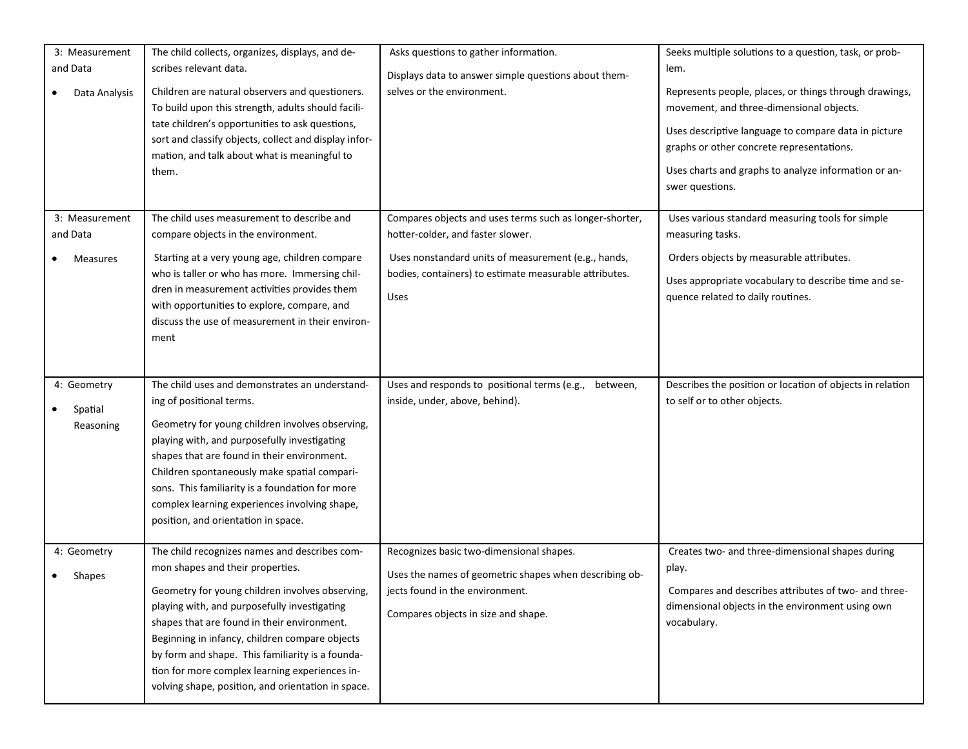| 3: Measurement<br>and Data<br>Data Analysis   | The child collects, organizes, displays, and de-<br>scribes relevant data.<br>Children are natural observers and questioners.<br>To build upon this strength, adults should facili-<br>tate children's opportunities to ask questions,<br>sort and classify objects, collect and display infor-<br>mation, and talk about what is meaningful to<br>them.                                                                                          | Asks questions to gather information.<br>Displays data to answer simple questions about them-<br>selves or the environment.                                                                                                  | Seeks multiple solutions to a question, task, or prob-<br>lem.<br>Represents people, places, or things through drawings,<br>movement, and three-dimensional objects.<br>Uses descriptive language to compare data in picture<br>graphs or other concrete representations.<br>Uses charts and graphs to analyze information or an-<br>swer questions. |
|-----------------------------------------------|---------------------------------------------------------------------------------------------------------------------------------------------------------------------------------------------------------------------------------------------------------------------------------------------------------------------------------------------------------------------------------------------------------------------------------------------------|------------------------------------------------------------------------------------------------------------------------------------------------------------------------------------------------------------------------------|------------------------------------------------------------------------------------------------------------------------------------------------------------------------------------------------------------------------------------------------------------------------------------------------------------------------------------------------------|
| 3: Measurement<br>and Data<br><b>Measures</b> | The child uses measurement to describe and<br>compare objects in the environment.<br>Starting at a very young age, children compare<br>who is taller or who has more. Immersing chil-<br>dren in measurement activities provides them<br>with opportunities to explore, compare, and<br>discuss the use of measurement in their environ-<br>ment                                                                                                  | Compares objects and uses terms such as longer-shorter,<br>hotter-colder, and faster slower.<br>Uses nonstandard units of measurement (e.g., hands,<br>bodies, containers) to estimate measurable attributes.<br><b>Uses</b> | Uses various standard measuring tools for simple<br>measuring tasks.<br>Orders objects by measurable attributes.<br>Uses appropriate vocabulary to describe time and se-<br>quence related to daily routines.                                                                                                                                        |
| 4: Geometry<br>Spatial<br>Reasoning           | The child uses and demonstrates an understand-<br>ing of positional terms.<br>Geometry for young children involves observing,<br>playing with, and purposefully investigating<br>shapes that are found in their environment.<br>Children spontaneously make spatial compari-<br>sons. This familiarity is a foundation for more<br>complex learning experiences involving shape,<br>position, and orientation in space.                           | Uses and responds to positional terms (e.g.,<br>between,<br>inside, under, above, behind).                                                                                                                                   | Describes the position or location of objects in relation<br>to self or to other objects.                                                                                                                                                                                                                                                            |
| 4: Geometry<br>Shapes                         | The child recognizes names and describes com-<br>mon shapes and their properties.<br>Geometry for young children involves observing,<br>playing with, and purposefully investigating<br>shapes that are found in their environment.<br>Beginning in infancy, children compare objects<br>by form and shape. This familiarity is a founda-<br>tion for more complex learning experiences in-<br>volving shape, position, and orientation in space. | Recognizes basic two-dimensional shapes.<br>Uses the names of geometric shapes when describing ob-<br>jects found in the environment.<br>Compares objects in size and shape.                                                 | Creates two- and three-dimensional shapes during<br>play.<br>Compares and describes attributes of two- and three-<br>dimensional objects in the environment using own<br>vocabulary.                                                                                                                                                                 |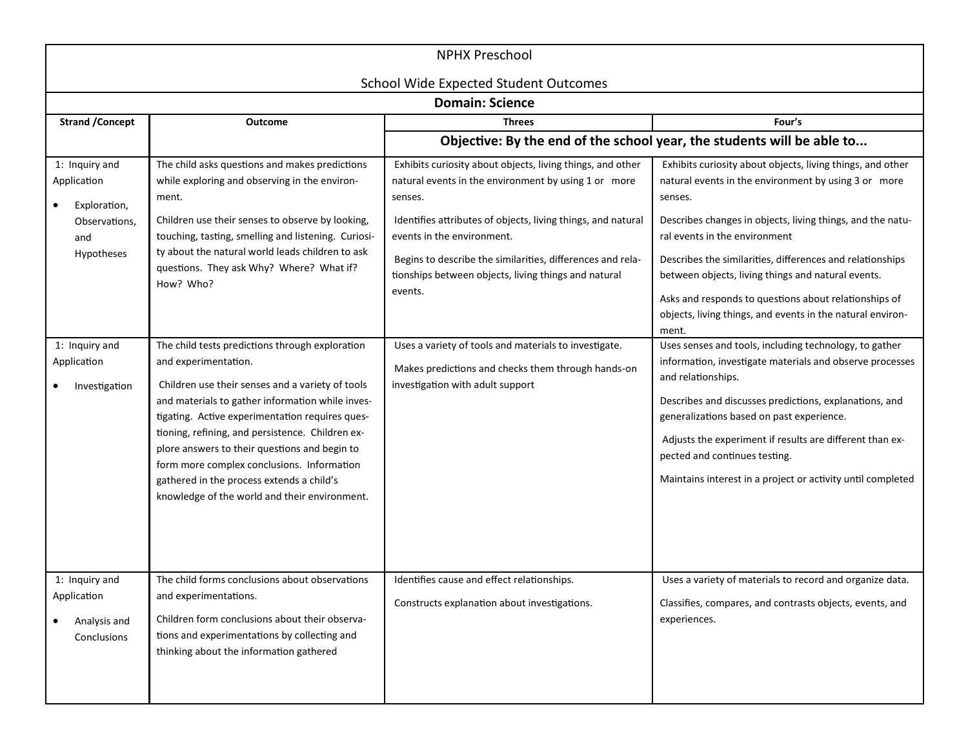| <b>NPHX Preschool</b><br><b>School Wide Expected Student Outcomes</b>                                                                 |                                                                                                                                                                                                                                                                                                                                                                                                                                                                                                                                                                                                                                                                                                                                                                                                                         |                                                                                                                                                                                                                                                                                                                                                                                                                                                                                                                 |                                                                                                                                                                                                                                                                                                                                                                                                                                                                                                                                                                                                                                                                                                                                                                                                                                                                                                |
|---------------------------------------------------------------------------------------------------------------------------------------|-------------------------------------------------------------------------------------------------------------------------------------------------------------------------------------------------------------------------------------------------------------------------------------------------------------------------------------------------------------------------------------------------------------------------------------------------------------------------------------------------------------------------------------------------------------------------------------------------------------------------------------------------------------------------------------------------------------------------------------------------------------------------------------------------------------------------|-----------------------------------------------------------------------------------------------------------------------------------------------------------------------------------------------------------------------------------------------------------------------------------------------------------------------------------------------------------------------------------------------------------------------------------------------------------------------------------------------------------------|------------------------------------------------------------------------------------------------------------------------------------------------------------------------------------------------------------------------------------------------------------------------------------------------------------------------------------------------------------------------------------------------------------------------------------------------------------------------------------------------------------------------------------------------------------------------------------------------------------------------------------------------------------------------------------------------------------------------------------------------------------------------------------------------------------------------------------------------------------------------------------------------|
|                                                                                                                                       |                                                                                                                                                                                                                                                                                                                                                                                                                                                                                                                                                                                                                                                                                                                                                                                                                         | <b>Domain: Science</b>                                                                                                                                                                                                                                                                                                                                                                                                                                                                                          |                                                                                                                                                                                                                                                                                                                                                                                                                                                                                                                                                                                                                                                                                                                                                                                                                                                                                                |
| <b>Strand / Concept</b>                                                                                                               | <b>Outcome</b>                                                                                                                                                                                                                                                                                                                                                                                                                                                                                                                                                                                                                                                                                                                                                                                                          | <b>Threes</b>                                                                                                                                                                                                                                                                                                                                                                                                                                                                                                   | Four's                                                                                                                                                                                                                                                                                                                                                                                                                                                                                                                                                                                                                                                                                                                                                                                                                                                                                         |
|                                                                                                                                       |                                                                                                                                                                                                                                                                                                                                                                                                                                                                                                                                                                                                                                                                                                                                                                                                                         |                                                                                                                                                                                                                                                                                                                                                                                                                                                                                                                 | Objective: By the end of the school year, the students will be able to                                                                                                                                                                                                                                                                                                                                                                                                                                                                                                                                                                                                                                                                                                                                                                                                                         |
| 1: Inquiry and<br>Application<br>Exploration,<br>Observations,<br>and<br>Hypotheses<br>1: Inquiry and<br>Application<br>Investigation | The child asks questions and makes predictions<br>while exploring and observing in the environ-<br>ment.<br>Children use their senses to observe by looking,<br>touching, tasting, smelling and listening. Curiosi-<br>ty about the natural world leads children to ask<br>questions. They ask Why? Where? What if?<br>How? Who?<br>The child tests predictions through exploration<br>and experimentation.<br>Children use their senses and a variety of tools<br>and materials to gather information while inves-<br>tigating. Active experimentation requires ques-<br>tioning, refining, and persistence. Children ex-<br>plore answers to their questions and begin to<br>form more complex conclusions. Information<br>gathered in the process extends a child's<br>knowledge of the world and their environment. | Exhibits curiosity about objects, living things, and other<br>natural events in the environment by using 1 or more<br>senses.<br>Identifies attributes of objects, living things, and natural<br>events in the environment.<br>Begins to describe the similarities, differences and rela-<br>tionships between objects, living things and natural<br>events.<br>Uses a variety of tools and materials to investigate.<br>Makes predictions and checks them through hands-on<br>investigation with adult support | Exhibits curiosity about objects, living things, and other<br>natural events in the environment by using 3 or more<br>senses.<br>Describes changes in objects, living things, and the natu-<br>ral events in the environment<br>Describes the similarities, differences and relationships<br>between objects, living things and natural events.<br>Asks and responds to questions about relationships of<br>objects, living things, and events in the natural environ-<br>ment.<br>Uses senses and tools, including technology, to gather<br>information, investigate materials and observe processes<br>and relationships.<br>Describes and discusses predictions, explanations, and<br>generalizations based on past experience.<br>Adjusts the experiment if results are different than ex-<br>pected and continues testing.<br>Maintains interest in a project or activity until completed |
| 1: Inquiry and<br>Application<br>Analysis and<br>Conclusions                                                                          | The child forms conclusions about observations<br>and experimentations.<br>Children form conclusions about their observa-<br>tions and experimentations by collecting and<br>thinking about the information gathered                                                                                                                                                                                                                                                                                                                                                                                                                                                                                                                                                                                                    | Identifies cause and effect relationships.<br>Constructs explanation about investigations.                                                                                                                                                                                                                                                                                                                                                                                                                      | Uses a variety of materials to record and organize data.<br>Classifies, compares, and contrasts objects, events, and<br>experiences.                                                                                                                                                                                                                                                                                                                                                                                                                                                                                                                                                                                                                                                                                                                                                           |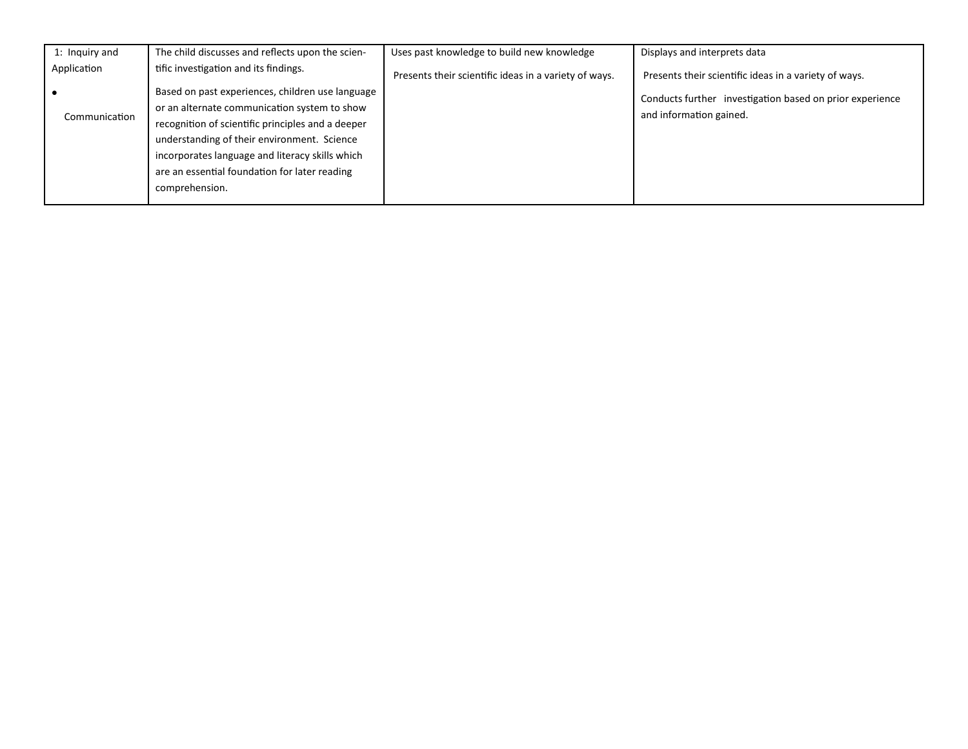| 1: Inquiry and | The child discusses and reflects upon the scien-                                                                                                                                                                                                                                                                           | Uses past knowledge to build new knowledge            | Displays and interprets data                                                        |
|----------------|----------------------------------------------------------------------------------------------------------------------------------------------------------------------------------------------------------------------------------------------------------------------------------------------------------------------------|-------------------------------------------------------|-------------------------------------------------------------------------------------|
| Application    | tific investigation and its findings.                                                                                                                                                                                                                                                                                      | Presents their scientific ideas in a variety of ways. | Presents their scientific ideas in a variety of ways.                               |
| Communication  | Based on past experiences, children use language<br>or an alternate communication system to show<br>recognition of scientific principles and a deeper<br>understanding of their environment. Science<br>incorporates language and literacy skills which<br>are an essential foundation for later reading<br>comprehension. |                                                       | Conducts further investigation based on prior experience<br>and information gained. |
|                |                                                                                                                                                                                                                                                                                                                            |                                                       |                                                                                     |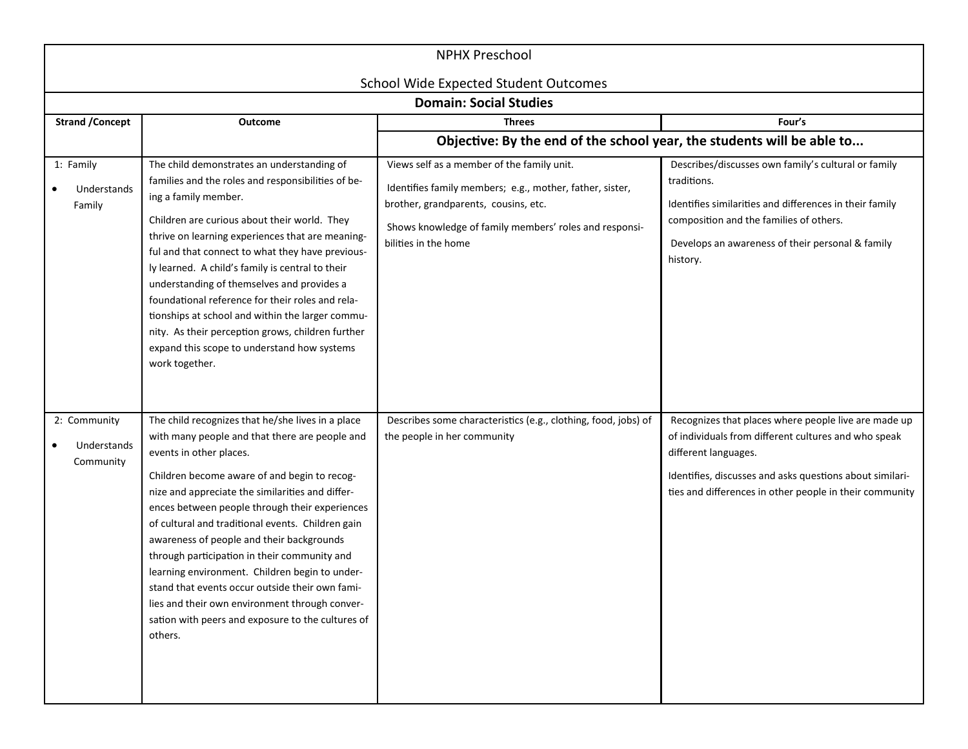| <b>NPHX Preschool</b>                    |                                                                                                                                                                                                                                                                                                                                                                                                                                                                                                                                                                                                                                                               |                                                                                                                                                                                                                                  |                                                                                                                                                                                                                                                             |  |
|------------------------------------------|---------------------------------------------------------------------------------------------------------------------------------------------------------------------------------------------------------------------------------------------------------------------------------------------------------------------------------------------------------------------------------------------------------------------------------------------------------------------------------------------------------------------------------------------------------------------------------------------------------------------------------------------------------------|----------------------------------------------------------------------------------------------------------------------------------------------------------------------------------------------------------------------------------|-------------------------------------------------------------------------------------------------------------------------------------------------------------------------------------------------------------------------------------------------------------|--|
|                                          | <b>School Wide Expected Student Outcomes</b><br><b>Domain: Social Studies</b>                                                                                                                                                                                                                                                                                                                                                                                                                                                                                                                                                                                 |                                                                                                                                                                                                                                  |                                                                                                                                                                                                                                                             |  |
| <b>Strand / Concept</b>                  | Outcome                                                                                                                                                                                                                                                                                                                                                                                                                                                                                                                                                                                                                                                       | <b>Threes</b>                                                                                                                                                                                                                    | Four's                                                                                                                                                                                                                                                      |  |
|                                          |                                                                                                                                                                                                                                                                                                                                                                                                                                                                                                                                                                                                                                                               | Objective: By the end of the school year, the students will be able to                                                                                                                                                           |                                                                                                                                                                                                                                                             |  |
| 1: Family<br>Understands<br>Family       | The child demonstrates an understanding of<br>families and the roles and responsibilities of be-<br>ing a family member.<br>Children are curious about their world. They<br>thrive on learning experiences that are meaning-<br>ful and that connect to what they have previous-<br>ly learned. A child's family is central to their<br>understanding of themselves and provides a<br>foundational reference for their roles and rela-<br>tionships at school and within the larger commu-<br>nity. As their perception grows, children further<br>expand this scope to understand how systems<br>work together.                                              | Views self as a member of the family unit.<br>Identifies family members; e.g., mother, father, sister,<br>brother, grandparents, cousins, etc.<br>Shows knowledge of family members' roles and responsi-<br>bilities in the home | Describes/discusses own family's cultural or family<br>traditions.<br>Identifies similarities and differences in their family<br>composition and the families of others.<br>Develops an awareness of their personal & family<br>history.                    |  |
| 2: Community<br>Understands<br>Community | The child recognizes that he/she lives in a place<br>with many people and that there are people and<br>events in other places.<br>Children become aware of and begin to recog-<br>nize and appreciate the similarities and differ-<br>ences between people through their experiences<br>of cultural and traditional events. Children gain<br>awareness of people and their backgrounds<br>through participation in their community and<br>learning environment. Children begin to under-<br>stand that events occur outside their own fami-<br>lies and their own environment through conver-<br>sation with peers and exposure to the cultures of<br>others. | Describes some characteristics (e.g., clothing, food, jobs) of<br>the people in her community                                                                                                                                    | Recognizes that places where people live are made up<br>of individuals from different cultures and who speak<br>different languages.<br>Identifies, discusses and asks questions about similari-<br>ties and differences in other people in their community |  |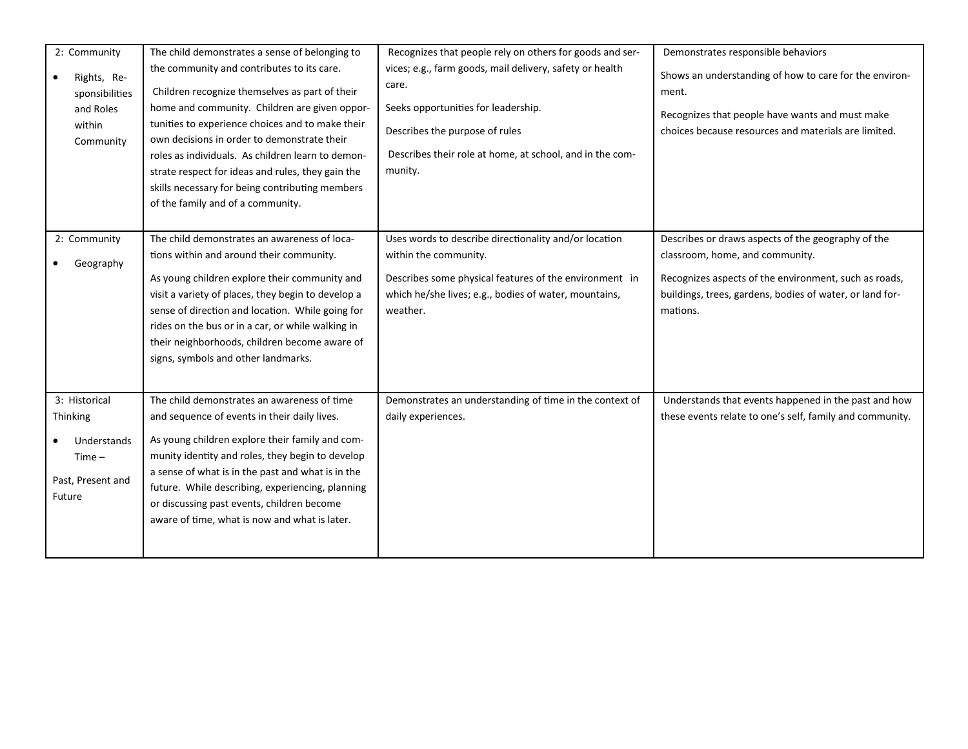| 2: Community<br>Rights, Re-<br>sponsibilities<br>and Roles<br>within<br>Community          | The child demonstrates a sense of belonging to<br>the community and contributes to its care.<br>Children recognize themselves as part of their<br>home and community. Children are given oppor-<br>tunities to experience choices and to make their<br>own decisions in order to demonstrate their<br>roles as individuals. As children learn to demon-<br>strate respect for ideas and rules, they gain the<br>skills necessary for being contributing members<br>of the family and of a community. | Recognizes that people rely on others for goods and ser-<br>vices; e.g., farm goods, mail delivery, safety or health<br>care.<br>Seeks opportunities for leadership.<br>Describes the purpose of rules<br>Describes their role at home, at school, and in the com-<br>munity. | Demonstrates responsible behaviors<br>Shows an understanding of how to care for the environ-<br>ment.<br>Recognizes that people have wants and must make<br>choices because resources and materials are limited.       |
|--------------------------------------------------------------------------------------------|------------------------------------------------------------------------------------------------------------------------------------------------------------------------------------------------------------------------------------------------------------------------------------------------------------------------------------------------------------------------------------------------------------------------------------------------------------------------------------------------------|-------------------------------------------------------------------------------------------------------------------------------------------------------------------------------------------------------------------------------------------------------------------------------|------------------------------------------------------------------------------------------------------------------------------------------------------------------------------------------------------------------------|
| 2: Community<br>Geography                                                                  | The child demonstrates an awareness of loca-<br>tions within and around their community.<br>As young children explore their community and<br>visit a variety of places, they begin to develop a<br>sense of direction and location. While going for<br>rides on the bus or in a car, or while walking in<br>their neighborhoods, children become aware of<br>signs, symbols and other landmarks.                                                                                                     | Uses words to describe directionality and/or location<br>within the community.<br>Describes some physical features of the environment in<br>which he/she lives; e.g., bodies of water, mountains,<br>weather.                                                                 | Describes or draws aspects of the geography of the<br>classroom, home, and community.<br>Recognizes aspects of the environment, such as roads,<br>buildings, trees, gardens, bodies of water, or land for-<br>mations. |
| 3: Historical<br><b>Thinking</b><br>Understands<br>$Time -$<br>Past, Present and<br>Future | The child demonstrates an awareness of time<br>and sequence of events in their daily lives.<br>As young children explore their family and com-<br>munity identity and roles, they begin to develop<br>a sense of what is in the past and what is in the<br>future. While describing, experiencing, planning<br>or discussing past events, children become<br>aware of time, what is now and what is later.                                                                                           | Demonstrates an understanding of time in the context of<br>daily experiences.                                                                                                                                                                                                 | Understands that events happened in the past and how<br>these events relate to one's self, family and community.                                                                                                       |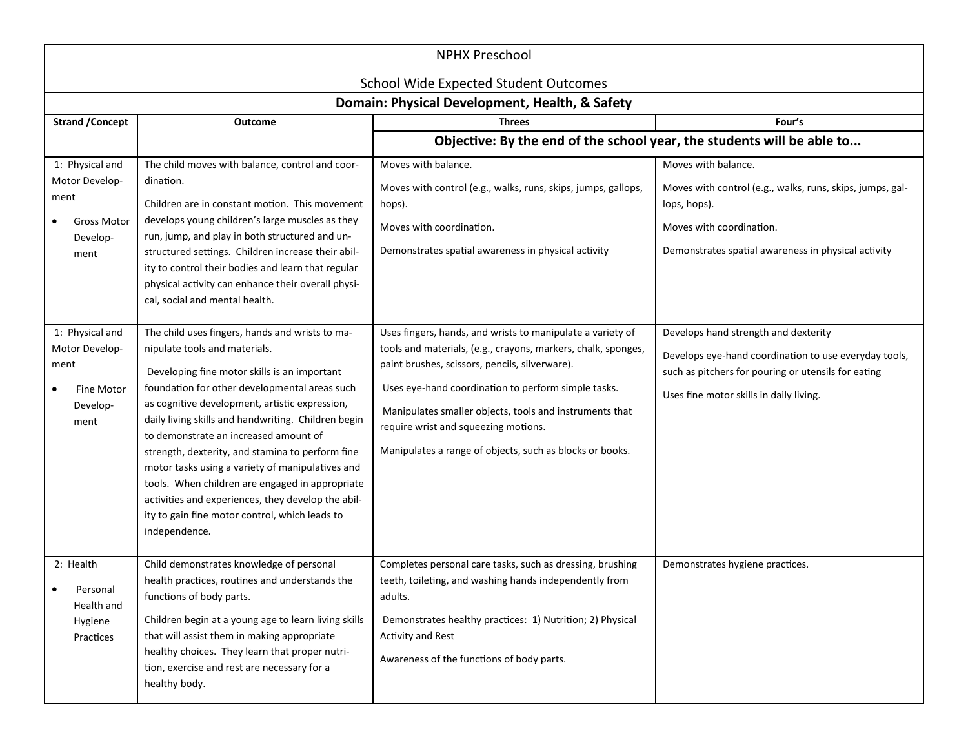| <b>NPHX Preschool</b>                                                                          |                                                                                                                                                                                                                                                                                                                                                                                                                                                                                                                                                                                                                         |                                                                                                                                                                                                                                                                                                                                                                                                     |                                                                                                                                                                                                 |
|------------------------------------------------------------------------------------------------|-------------------------------------------------------------------------------------------------------------------------------------------------------------------------------------------------------------------------------------------------------------------------------------------------------------------------------------------------------------------------------------------------------------------------------------------------------------------------------------------------------------------------------------------------------------------------------------------------------------------------|-----------------------------------------------------------------------------------------------------------------------------------------------------------------------------------------------------------------------------------------------------------------------------------------------------------------------------------------------------------------------------------------------------|-------------------------------------------------------------------------------------------------------------------------------------------------------------------------------------------------|
| <b>School Wide Expected Student Outcomes</b><br>Domain: Physical Development, Health, & Safety |                                                                                                                                                                                                                                                                                                                                                                                                                                                                                                                                                                                                                         |                                                                                                                                                                                                                                                                                                                                                                                                     |                                                                                                                                                                                                 |
| <b>Strand / Concept</b>                                                                        | Outcome                                                                                                                                                                                                                                                                                                                                                                                                                                                                                                                                                                                                                 | Threes                                                                                                                                                                                                                                                                                                                                                                                              | Four's                                                                                                                                                                                          |
| Objective: By the end of the school year, the students will be able to                         |                                                                                                                                                                                                                                                                                                                                                                                                                                                                                                                                                                                                                         |                                                                                                                                                                                                                                                                                                                                                                                                     |                                                                                                                                                                                                 |
| 1: Physical and<br>Motor Develop-<br>ment<br><b>Gross Motor</b><br>Develop-<br>ment            | The child moves with balance, control and coor-<br>dination.<br>Children are in constant motion. This movement<br>develops young children's large muscles as they<br>run, jump, and play in both structured and un-<br>structured settings. Children increase their abil-<br>ity to control their bodies and learn that regular<br>physical activity can enhance their overall physi-<br>cal, social and mental health.                                                                                                                                                                                                 | Moves with balance.<br>Moves with control (e.g., walks, runs, skips, jumps, gallops,<br>hops).<br>Moves with coordination.<br>Demonstrates spatial awareness in physical activity                                                                                                                                                                                                                   | Moves with balance.<br>Moves with control (e.g., walks, runs, skips, jumps, gal-<br>lops, hops).<br>Moves with coordination.<br>Demonstrates spatial awareness in physical activity             |
| 1: Physical and<br>Motor Develop-<br>ment<br><b>Fine Motor</b><br>Develop-<br>ment             | The child uses fingers, hands and wrists to ma-<br>nipulate tools and materials.<br>Developing fine motor skills is an important<br>foundation for other developmental areas such<br>as cognitive development, artistic expression,<br>daily living skills and handwriting. Children begin<br>to demonstrate an increased amount of<br>strength, dexterity, and stamina to perform fine<br>motor tasks using a variety of manipulatives and<br>tools. When children are engaged in appropriate<br>activities and experiences, they develop the abil-<br>ity to gain fine motor control, which leads to<br>independence. | Uses fingers, hands, and wrists to manipulate a variety of<br>tools and materials, (e.g., crayons, markers, chalk, sponges,<br>paint brushes, scissors, pencils, silverware).<br>Uses eye-hand coordination to perform simple tasks.<br>Manipulates smaller objects, tools and instruments that<br>require wrist and squeezing motions.<br>Manipulates a range of objects, such as blocks or books. | Develops hand strength and dexterity<br>Develops eye-hand coordination to use everyday tools,<br>such as pitchers for pouring or utensils for eating<br>Uses fine motor skills in daily living. |
| 2: Health<br>Personal<br>Health and<br>Hygiene<br>Practices                                    | Child demonstrates knowledge of personal<br>health practices, routines and understands the<br>functions of body parts.<br>Children begin at a young age to learn living skills<br>that will assist them in making appropriate<br>healthy choices. They learn that proper nutri-<br>tion, exercise and rest are necessary for a<br>healthy body.                                                                                                                                                                                                                                                                         | Completes personal care tasks, such as dressing, brushing<br>teeth, toileting, and washing hands independently from<br>adults.<br>Demonstrates healthy practices: 1) Nutrition; 2) Physical<br><b>Activity and Rest</b><br>Awareness of the functions of body parts.                                                                                                                                | Demonstrates hygiene practices.                                                                                                                                                                 |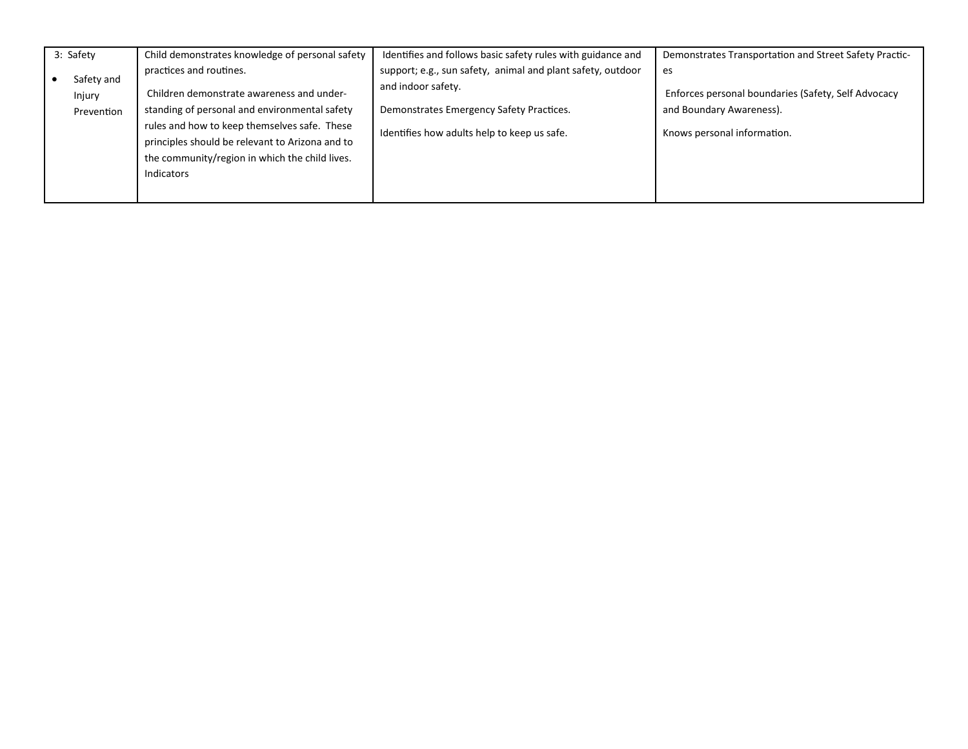| 3: Safety            | Child demonstrates knowledge of personal safety | Identifies and follows basic safety rules with guidance and | Demonstrates Transportation and Street Safety Practic- |
|----------------------|-------------------------------------------------|-------------------------------------------------------------|--------------------------------------------------------|
|                      | practices and routines.                         | support; e.g., sun safety, animal and plant safety, outdoor | es                                                     |
| Safety and<br>Injury | Children demonstrate awareness and under-       | and indoor safety.                                          | Enforces personal boundaries (Safety, Self Advocacy    |
| Prevention           | standing of personal and environmental safety   | Demonstrates Emergency Safety Practices.                    | and Boundary Awareness).                               |
|                      | rules and how to keep themselves safe. These    | Identifies how adults help to keep us safe.                 | Knows personal information.                            |
|                      | principles should be relevant to Arizona and to |                                                             |                                                        |
|                      | the community/region in which the child lives.  |                                                             |                                                        |
|                      | Indicators                                      |                                                             |                                                        |
|                      |                                                 |                                                             |                                                        |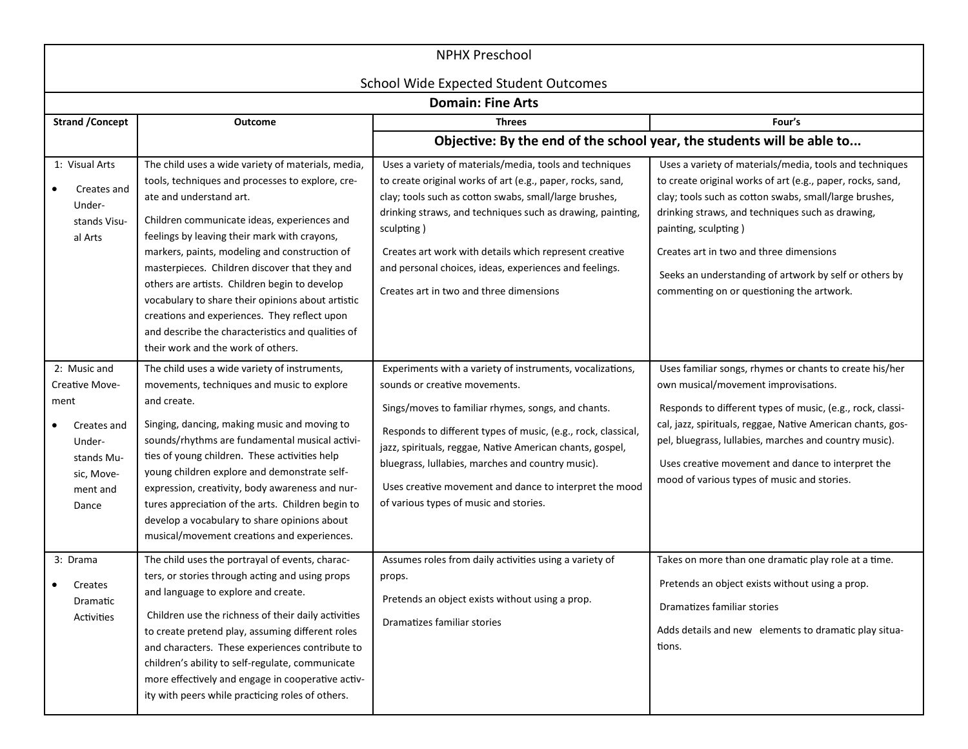| <b>NPHX Preschool</b><br><b>School Wide Expected Student Outcomes</b>                                            |                                                                                                                                                                                                                                                                                                                                                                                                                                                                                                                                                                                     |                                                                                                                                                                                                                                                                                                                                                                                                                                         |                                                                                                                                                                                                                                                                                                                                                                                                               |
|------------------------------------------------------------------------------------------------------------------|-------------------------------------------------------------------------------------------------------------------------------------------------------------------------------------------------------------------------------------------------------------------------------------------------------------------------------------------------------------------------------------------------------------------------------------------------------------------------------------------------------------------------------------------------------------------------------------|-----------------------------------------------------------------------------------------------------------------------------------------------------------------------------------------------------------------------------------------------------------------------------------------------------------------------------------------------------------------------------------------------------------------------------------------|---------------------------------------------------------------------------------------------------------------------------------------------------------------------------------------------------------------------------------------------------------------------------------------------------------------------------------------------------------------------------------------------------------------|
| <b>Domain: Fine Arts</b>                                                                                         |                                                                                                                                                                                                                                                                                                                                                                                                                                                                                                                                                                                     |                                                                                                                                                                                                                                                                                                                                                                                                                                         |                                                                                                                                                                                                                                                                                                                                                                                                               |
| <b>Strand / Concept</b>                                                                                          | Outcome                                                                                                                                                                                                                                                                                                                                                                                                                                                                                                                                                                             | <b>Threes</b>                                                                                                                                                                                                                                                                                                                                                                                                                           | Four's                                                                                                                                                                                                                                                                                                                                                                                                        |
|                                                                                                                  |                                                                                                                                                                                                                                                                                                                                                                                                                                                                                                                                                                                     | Objective: By the end of the school year, the students will be able to                                                                                                                                                                                                                                                                                                                                                                  |                                                                                                                                                                                                                                                                                                                                                                                                               |
| 1: Visual Arts<br>Creates and<br>Under-<br>stands Visu-<br>al Arts                                               | The child uses a wide variety of materials, media,<br>tools, techniques and processes to explore, cre-<br>ate and understand art.<br>Children communicate ideas, experiences and<br>feelings by leaving their mark with crayons,<br>markers, paints, modeling and construction of<br>masterpieces. Children discover that they and<br>others are artists. Children begin to develop<br>vocabulary to share their opinions about artistic<br>creations and experiences. They reflect upon<br>and describe the characteristics and qualities of<br>their work and the work of others. | Uses a variety of materials/media, tools and techniques<br>to create original works of art (e.g., paper, rocks, sand,<br>clay; tools such as cotton swabs, small/large brushes,<br>drinking straws, and techniques such as drawing, painting,<br>sculpting)<br>Creates art work with details which represent creative<br>and personal choices, ideas, experiences and feelings.<br>Creates art in two and three dimensions              | Uses a variety of materials/media, tools and techniques<br>to create original works of art (e.g., paper, rocks, sand,<br>clay; tools such as cotton swabs, small/large brushes,<br>drinking straws, and techniques such as drawing,<br>painting, sculpting)<br>Creates art in two and three dimensions<br>Seeks an understanding of artwork by self or others by<br>commenting on or questioning the artwork. |
| 2: Music and<br>Creative Move-<br>ment<br>Creates and<br>Under-<br>stands Mu-<br>sic, Move-<br>ment and<br>Dance | The child uses a wide variety of instruments,<br>movements, techniques and music to explore<br>and create.<br>Singing, dancing, making music and moving to<br>sounds/rhythms are fundamental musical activi-<br>ties of young children. These activities help<br>young children explore and demonstrate self-<br>expression, creativity, body awareness and nur-<br>tures appreciation of the arts. Children begin to<br>develop a vocabulary to share opinions about<br>musical/movement creations and experiences.                                                                | Experiments with a variety of instruments, vocalizations,<br>sounds or creative movements.<br>Sings/moves to familiar rhymes, songs, and chants.<br>Responds to different types of music, (e.g., rock, classical,<br>jazz, spirituals, reggae, Native American chants, gospel,<br>bluegrass, Iullabies, marches and country music).<br>Uses creative movement and dance to interpret the mood<br>of various types of music and stories. | Uses familiar songs, rhymes or chants to create his/her<br>own musical/movement improvisations.<br>Responds to different types of music, (e.g., rock, classi-<br>cal, jazz, spirituals, reggae, Native American chants, gos-<br>pel, bluegrass, lullabies, marches and country music).<br>Uses creative movement and dance to interpret the<br>mood of various types of music and stories.                    |
| 3: Drama<br>Creates<br>Dramatic<br>Activities                                                                    | The child uses the portrayal of events, charac-<br>ters, or stories through acting and using props<br>and language to explore and create.<br>Children use the richness of their daily activities<br>to create pretend play, assuming different roles<br>and characters. These experiences contribute to<br>children's ability to self-regulate, communicate<br>more effectively and engage in cooperative activ-<br>ity with peers while practicing roles of others.                                                                                                                | Assumes roles from daily activities using a variety of<br>props.<br>Pretends an object exists without using a prop.<br>Dramatizes familiar stories                                                                                                                                                                                                                                                                                      | Takes on more than one dramatic play role at a time.<br>Pretends an object exists without using a prop.<br>Dramatizes familiar stories<br>Adds details and new elements to dramatic play situa-<br>tions.                                                                                                                                                                                                     |